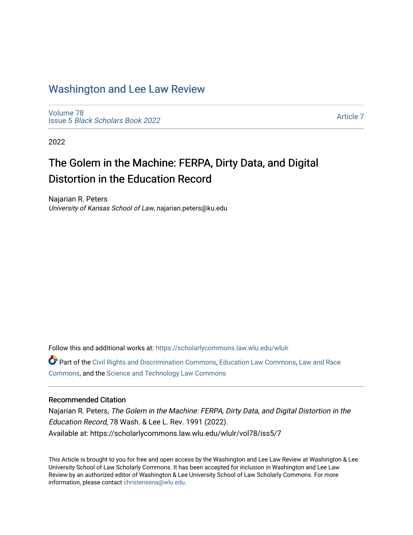## [Washington and Lee Law Review](https://scholarlycommons.law.wlu.edu/wlulr)

[Volume 78](https://scholarlycommons.law.wlu.edu/wlulr/vol78) Issue 5 [Black Scholars Book 2022](https://scholarlycommons.law.wlu.edu/wlulr/vol78/iss5)

[Article 7](https://scholarlycommons.law.wlu.edu/wlulr/vol78/iss5/7) 

2022

# The Golem in the Machine: FERPA, Dirty Data, and Digital Distortion in the Education Record

Najarian R. Peters University of Kansas School of Law, najarian.peters@ku.edu

Follow this and additional works at: [https://scholarlycommons.law.wlu.edu/wlulr](https://scholarlycommons.law.wlu.edu/wlulr?utm_source=scholarlycommons.law.wlu.edu%2Fwlulr%2Fvol78%2Fiss5%2F7&utm_medium=PDF&utm_campaign=PDFCoverPages) 

Part of the [Civil Rights and Discrimination Commons,](http://network.bepress.com/hgg/discipline/585?utm_source=scholarlycommons.law.wlu.edu%2Fwlulr%2Fvol78%2Fiss5%2F7&utm_medium=PDF&utm_campaign=PDFCoverPages) [Education Law Commons](http://network.bepress.com/hgg/discipline/596?utm_source=scholarlycommons.law.wlu.edu%2Fwlulr%2Fvol78%2Fiss5%2F7&utm_medium=PDF&utm_campaign=PDFCoverPages), [Law and Race](http://network.bepress.com/hgg/discipline/1300?utm_source=scholarlycommons.law.wlu.edu%2Fwlulr%2Fvol78%2Fiss5%2F7&utm_medium=PDF&utm_campaign=PDFCoverPages) [Commons](http://network.bepress.com/hgg/discipline/1300?utm_source=scholarlycommons.law.wlu.edu%2Fwlulr%2Fvol78%2Fiss5%2F7&utm_medium=PDF&utm_campaign=PDFCoverPages), and the [Science and Technology Law Commons](http://network.bepress.com/hgg/discipline/875?utm_source=scholarlycommons.law.wlu.edu%2Fwlulr%2Fvol78%2Fiss5%2F7&utm_medium=PDF&utm_campaign=PDFCoverPages)

## Recommended Citation

Najarian R. Peters, The Golem in the Machine: FERPA, Dirty Data, and Digital Distortion in the Education Record, 78 Wash. & Lee L. Rev. 1991 (2022). Available at: https://scholarlycommons.law.wlu.edu/wlulr/vol78/iss5/7

This Article is brought to you for free and open access by the Washington and Lee Law Review at Washington & Lee University School of Law Scholarly Commons. It has been accepted for inclusion in Washington and Lee Law Review by an authorized editor of Washington & Lee University School of Law Scholarly Commons. For more information, please contact [christensena@wlu.edu](mailto:christensena@wlu.edu).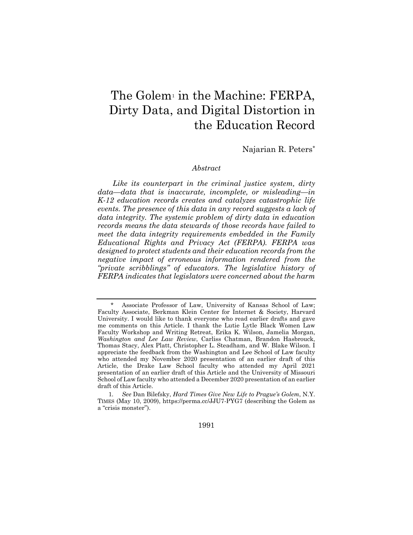## The Golem<sup>1</sup> in the Machine: FERPA, Dirty Data, and Digital Distortion in the Education Record

Najarian R. Peters*\**

#### *Abstract*

*Like its counterpart in the criminal justice system, dirty data—data that is inaccurate, incomplete, or misleading—in K-12 education records creates and catalyzes catastrophic life events. The presence of this data in any record suggests a lack of data integrity. The systemic problem of dirty data in education records means the data stewards of those records have failed to meet the data integrity requirements embedded in the Family Educational Rights and Privacy Act (FERPA). FERPA was designed to protect students and their education records from the negative impact of erroneous information rendered from the "private scribblings" of educators. The legislative history of FERPA indicates that legislators were concerned about the harm* 

1991

Associate Professor of Law, University of Kansas School of Law; Faculty Associate, Berkman Klein Center for Internet & Society, Harvard University. I would like to thank everyone who read earlier drafts and gave me comments on this Article. I thank the Lutie Lytle Black Women Law Faculty Workshop and Writing Retreat, Erika K. Wilson, Jamelia Morgan, *Washington and Lee Law Review*, Carliss Chatman, Brandon Hasbrouck, Thomas Stacy, Alex Platt, Christopher L. Steadham, and W. Blake Wilson. I appreciate the feedback from the Washington and Lee School of Law faculty who attended my November 2020 presentation of an earlier draft of this Article, the Drake Law School faculty who attended my April 2021 presentation of an earlier draft of this Article and the University of Missouri School of Law faculty who attended a December 2020 presentation of an earlier draft of this Article.

<sup>1</sup>*. See* Dan Bilefsky, *Hard Times Give New Life to Prague's Golem*, N.Y. TIMES (May 10, 2009), https://perma.cc/JJU7-PYG7 (describing the Golem as a "crisis monster").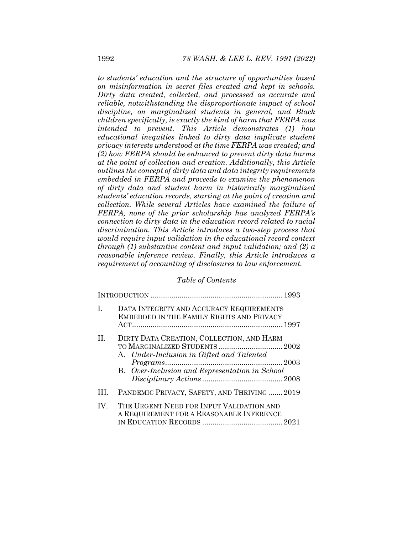*to students' education and the structure of opportunities based on misinformation in secret files created and kept in schools. Dirty data created, collected, and processed as accurate and reliable, notwithstanding the disproportionate impact of school discipline, on marginalized students in general, and Black children specifically, is exactly the kind of harm that FERPA was intended to prevent. This Article demonstrates (1) how educational inequities linked to dirty data implicate student privacy interests understood at the time FERPA was created; and (2) how FERPA should be enhanced to prevent dirty data harms at the point of collection and creation. Additionally, this Article outlines the concept of dirty data and data integrity requirements embedded in FERPA and proceeds to examine the phenomenon of dirty data and student harm in historically marginalized students' education records, starting at the point of creation and collection. While several Articles have examined the failure of FERPA, none of the prior scholarship has analyzed FERPA's connection to dirty data in the education record related to racial discrimination. This Article introduces a two-step process that would require input validation in the educational record context through (1) substantive content and input validation; and (2) a reasonable inference review. Finally, this Article introduces a requirement of accounting of disclosures to law enforcement.* 

## *Table of Contents*

| $\mathbf{I}$ . | DATA INTEGRITY AND ACCURACY REQUIREMENTS<br>EMBEDDED IN THE FAMILY RIGHTS AND PRIVACY                                                                                      |  |
|----------------|----------------------------------------------------------------------------------------------------------------------------------------------------------------------------|--|
| $\rm{II}$ .    | DIRTY DATA CREATION, COLLECTION, AND HARM<br>TO MARGINALIZED STUDENTS  2002<br>A. Under-Inclusion in Gifted and Talented<br>B. Over-Inclusion and Representation in School |  |
| HL.            | PANDEMIC PRIVACY, SAFETY, AND THRIVING2019                                                                                                                                 |  |
| IV.            | THE URGENT NEED FOR INPUT VALIDATION AND<br>A REQUIREMENT FOR A REASONABLE INFERENCE                                                                                       |  |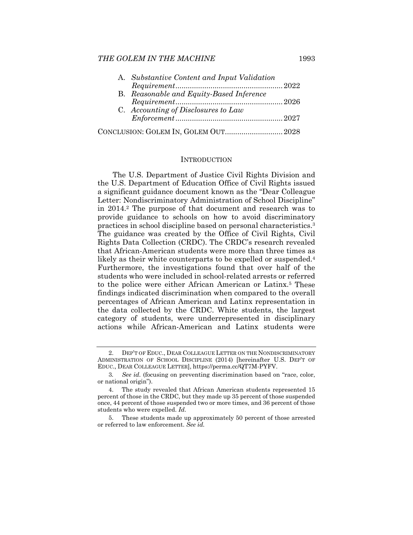| A. Substantive Content and Input Validation |  |
|---------------------------------------------|--|
|                                             |  |
| B. Reasonable and Equity-Based Inference    |  |
|                                             |  |
| C. Accounting of Disclosures to Law         |  |
|                                             |  |
| CONCLUSION: GOLEM IN, GOLEM OUT 2028        |  |

## **INTRODUCTION**

The U.S. Department of Justice Civil Rights Division and the U.S. Department of Education Office of Civil Rights issued a significant guidance document known as the "Dear Colleague Letter: Nondiscriminatory Administration of School Discipline" in 2014.2 The purpose of that document and research was to provide guidance to schools on how to avoid discriminatory practices in school discipline based on personal characteristics.3 The guidance was created by the Office of Civil Rights, Civil Rights Data Collection (CRDC). The CRDC's research revealed that African-American students were more than three times as likely as their white counterparts to be expelled or suspended.<sup>4</sup> Furthermore, the investigations found that over half of the students who were included in school-related arrests or referred to the police were either African American or Latinx.5 These findings indicated discrimination when compared to the overall percentages of African American and Latinx representation in the data collected by the CRDC. White students, the largest category of students, were underrepresented in disciplinary actions while African-American and Latinx students were

 <sup>2.</sup> DEP'T OF EDUC., DEAR COLLEAGUE LETTER ON THE NONDISCRIMINATORY ADMINISTRATION OF SCHOOL DISCIPLINE (2014) [hereinafter U.S. DEP'T OF EDUC., DEAR COLLEAGUE LETTER], https://perma.cc/QT7M-PYFV.

<sup>3</sup>*. See id.* (focusing on preventing discrimination based on "race, color, or national origin").

 <sup>4.</sup> The study revealed that African American students represented 15 percent of those in the CRDC, but they made up 35 percent of those suspended once, 44 percent of those suspended two or more times, and 36 percent of those students who were expelled. *Id.*

 <sup>5.</sup> These students made up approximately 50 percent of those arrested or referred to law enforcement. *See id.*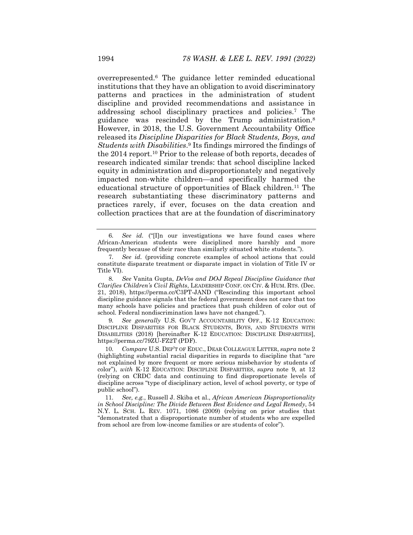overrepresented.6 The guidance letter reminded educational institutions that they have an obligation to avoid discriminatory patterns and practices in the administration of student discipline and provided recommendations and assistance in addressing school disciplinary practices and policies.7 The guidance was rescinded by the Trump administration.8 However, in 2018, the U.S. Government Accountability Office released its *Discipline Disparities for Black Students, Boys, and Students with Disabilities*.9 Its findings mirrored the findings of the 2014 report.10 Prior to the release of both reports, decades of research indicated similar trends: that school discipline lacked equity in administration and disproportionately and negatively impacted non-white children—and specifically harmed the educational structure of opportunities of Black children.11 The research substantiating these discriminatory patterns and practices rarely, if ever, focuses on the data creation and collection practices that are at the foundation of discriminatory

9*. See generally* U.S. GOV'T ACCOUNTABILITY OFF., K-12 EDUCATION: DISCIPLINE DISPARITIES FOR BLACK STUDENTS, BOYS, AND STUDENTS WITH DISABILITIES (2018) [hereinafter K-12 EDUCATION: DISCIPLINE DISPARITIES], https://perma.cc/79ZU-FZ2T (PDF).

10*. Compare* U.S. DEP'T OF EDUC., DEAR COLLEAGUE LETTER, *supra* note 2 (highlighting substantial racial disparities in regards to discipline that "are not explained by more frequent or more serious misbehavior by students of color"), *with* K-12 EDUCATION: DISCIPLINE DISPARITIES, *supra* note 9, at 12 (relying on CRDC data and continuing to find disproportionate levels of discipline across "type of disciplinary action, level of school poverty, or type of public school").

11*. See, e.g.*, Russell J. Skiba et al., *African American Disproportionality in School Discipline: The Divide Between Best Evidence and Legal Remedy*, 54 N.Y. L. SCH. L. REV. 1071, 1086 (2009) (relying on prior studies that "demonstrated that a disproportionate number of students who are expelled from school are from low-income families or are students of color").

<sup>6</sup>*. See id.* ("[I]n our investigations we have found cases where African-American students were disciplined more harshly and more frequently because of their race than similarly situated white students.").

<sup>7</sup>*. See id.* (providing concrete examples of school actions that could constitute disparate treatment or disparate impact in violation of Title IV or Title VI).

<sup>8</sup>*. See* Vanita Gupta, *DeVos and DOJ Repeal Discipline Guidance that Clarifies Children's Civil Rights*, LEADERSHIP CONF. ON CIV. & HUM. RTS. (Dec. 21, 2018), https://perma.cc/C3PT-JAND ("Rescinding this important school discipline guidance signals that the federal government does not care that too many schools have policies and practices that push children of color out of school. Federal nondiscrimination laws have not changed.").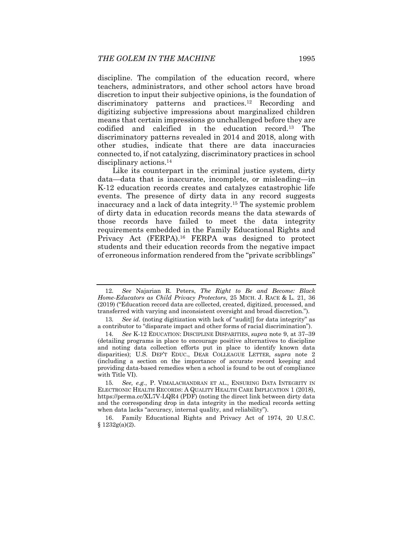discipline. The compilation of the education record, where teachers, administrators, and other school actors have broad discretion to input their subjective opinions, is the foundation of discriminatory patterns and practices.12 Recording and digitizing subjective impressions about marginalized children means that certain impressions go unchallenged before they are codified and calcified in the education record.13 The discriminatory patterns revealed in 2014 and 2018, along with other studies, indicate that there are data inaccuracies connected to, if not catalyzing, discriminatory practices in school disciplinary actions.14

Like its counterpart in the criminal justice system, dirty data—data that is inaccurate, incomplete, or misleading—in K-12 education records creates and catalyzes catastrophic life events. The presence of dirty data in any record suggests inaccuracy and a lack of data integrity.15 The systemic problem of dirty data in education records means the data stewards of those records have failed to meet the data integrity requirements embedded in the Family Educational Rights and Privacy Act (FERPA).16 FERPA was designed to protect students and their education records from the negative impact of erroneous information rendered from the "private scribblings"

<sup>12</sup>*. See* Najarian R. Peters, *The Right to Be and Become: Black Home-Educators as Child Privacy Protectors*, 25 MICH. J. RACE & L. 21, 36 (2019) ("Education record data are collected, created, digitized, processed, and transferred with varying and inconsistent oversight and broad discretion.").

<sup>13</sup>*. See id.* (noting digitization with lack of "audit[] for data integrity" as a contributor to "disparate impact and other forms of racial discrimination").

<sup>14</sup>*. See* K-12 EDUCATION: DISCIPLINE DISPARITIES, *supra* note 9, at 37–39 (detailing programs in place to encourage positive alternatives to discipline and noting data collection efforts put in place to identify known data disparities); U.S. DEP'T EDUC., DEAR COLLEAGUE LETTER, *supra* note 2 (including a section on the importance of accurate record keeping and providing data-based remedies when a school is found to be out of compliance with Title VI).

<sup>15</sup>*. See, e.g.*, P. VIMALACHANDRAN ET AL., ENSURING DATA INTEGRITY IN ELECTRONIC HEALTH RECORDS: A QUALITY HEALTH CARE IMPLICATION 1 (2018), https://perma.cc/XL7V-LQR4 (PDF) (noting the direct link between dirty data and the corresponding drop in data integrity in the medical records setting when data lacks "accuracy, internal quality, and reliability").

 <sup>16.</sup> Family Educational Rights and Privacy Act of 1974, 20 U.S.C.  $$1232g(a)(2)$ .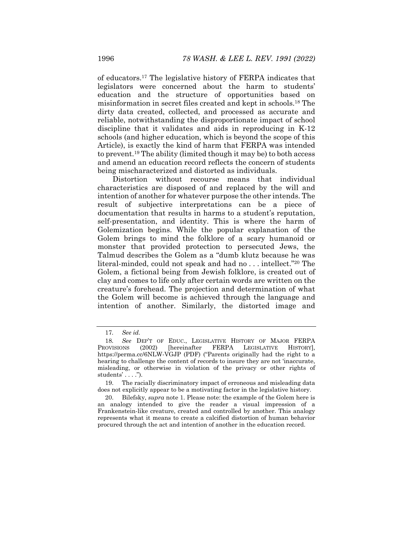of educators.17 The legislative history of FERPA indicates that legislators were concerned about the harm to students' education and the structure of opportunities based on misinformation in secret files created and kept in schools.18 The dirty data created, collected, and processed as accurate and reliable, notwithstanding the disproportionate impact of school discipline that it validates and aids in reproducing in K-12 schools (and higher education, which is beyond the scope of this Article), is exactly the kind of harm that FERPA was intended to prevent.19 The ability (limited though it may be) to both access and amend an education record reflects the concern of students being mischaracterized and distorted as individuals.

Distortion without recourse means that individual characteristics are disposed of and replaced by the will and intention of another for whatever purpose the other intends. The result of subjective interpretations can be a piece of documentation that results in harms to a student's reputation, self-presentation, and identity. This is where the harm of Golemization begins. While the popular explanation of the Golem brings to mind the folklore of a scary humanoid or monster that provided protection to persecuted Jews, the Talmud describes the Golem as a "dumb klutz because he was literal-minded, could not speak and had no . . . intellect."20 The Golem, a fictional being from Jewish folklore, is created out of clay and comes to life only after certain words are written on the creature's forehead. The projection and determination of what the Golem will become is achieved through the language and intention of another. Similarly, the distorted image and

<sup>17</sup>*. See id.*

<sup>18</sup>*. See* DEP'T OF EDUC., LEGISLATIVE HISTORY OF MAJOR FERPA PROVISIONS (2002) [hereinafter FERPA LEGISLATIVE HISTORY], https://perma.cc/6NLW-VGJP (PDF) ("Parents originally had the right to a hearing to challenge the content of records to insure they are not 'inaccurate, misleading, or otherwise in violation of the privacy or other rights of students' . . . .").

 <sup>19.</sup> The racially discriminatory impact of erroneous and misleading data does not explicitly appear to be a motivating factor in the legislative history.

 <sup>20.</sup> Bilefsky, *supra* note 1. Please note: the example of the Golem here is an analogy intended to give the reader a visual impression of a Frankenstein-like creature, created and controlled by another. This analogy represents what it means to create a calcified distortion of human behavior procured through the act and intention of another in the education record.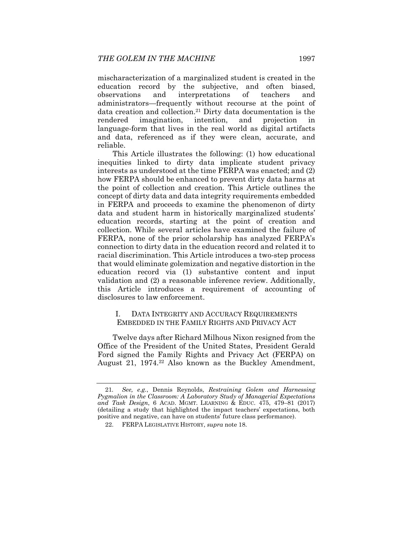mischaracterization of a marginalized student is created in the education record by the subjective, and often biased, observations and interpretations of teachers and administrators—frequently without recourse at the point of data creation and collection.21 Dirty data documentation is the rendered imagination, intention, and projection in language-form that lives in the real world as digital artifacts and data, referenced as if they were clean, accurate, and reliable.

This Article illustrates the following: (1) how educational inequities linked to dirty data implicate student privacy interests as understood at the time FERPA was enacted; and (2) how FERPA should be enhanced to prevent dirty data harms at the point of collection and creation. This Article outlines the concept of dirty data and data integrity requirements embedded in FERPA and proceeds to examine the phenomenon of dirty data and student harm in historically marginalized students' education records, starting at the point of creation and collection. While several articles have examined the failure of FERPA, none of the prior scholarship has analyzed FERPA's connection to dirty data in the education record and related it to racial discrimination. This Article introduces a two-step process that would eliminate golemization and negative distortion in the education record via (1) substantive content and input validation and (2) a reasonable inference review. Additionally, this Article introduces a requirement of accounting of disclosures to law enforcement.

### I. DATA INTEGRITY AND ACCURACY REQUIREMENTS EMBEDDED IN THE FAMILY RIGHTS AND PRIVACY ACT

Twelve days after Richard Milhous Nixon resigned from the Office of the President of the United States, President Gerald Ford signed the Family Rights and Privacy Act (FERPA) on August 21, 1974.22 Also known as the Buckley Amendment,

<sup>21</sup>*. See, e.g.*, Dennis Reynolds, *Restraining Golem and Harnessing Pygmalion in the Classroom: A Laboratory Study of Managerial Expectations and Task Design*, 6 ACAD. MGMT. LEARNING & EDUC. 475, 479–81 (2017) (detailing a study that highlighted the impact teachers' expectations, both positive and negative, can have on students' future class performance).

 <sup>22.</sup> FERPA LEGISLATIVE HISTORY, *supra* note 18.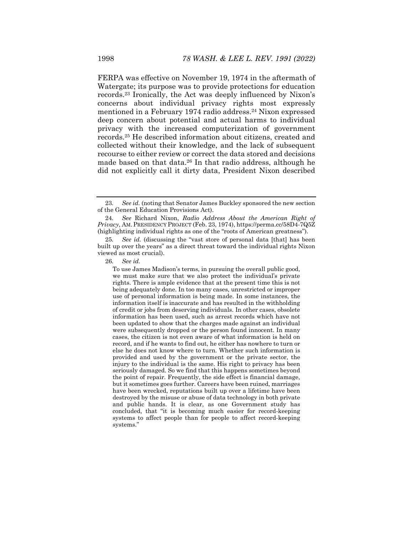FERPA was effective on November 19, 1974 in the aftermath of Watergate; its purpose was to provide protections for education records.23 Ironically, the Act was deeply influenced by Nixon's concerns about individual privacy rights most expressly mentioned in a February 1974 radio address.<sup>24</sup> Nixon expressed deep concern about potential and actual harms to individual privacy with the increased computerization of government records.25 He described information about citizens, created and collected without their knowledge, and the lack of subsequent recourse to either review or correct the data stored and decisions made based on that data.<sup>26</sup> In that radio address, although he did not explicitly call it dirty data, President Nixon described

26*. See id.* 

To use James Madison's terms, in pursuing the overall public good, we must make sure that we also protect the individual's private rights. There is ample evidence that at the present time this is not being adequately done. In too many cases, unrestricted or improper use of personal information is being made. In some instances, the information itself is inaccurate and has resulted in the withholding of credit or jobs from deserving individuals. In other cases, obsolete information has been used, such as arrest records which have not been updated to show that the charges made against an individual were subsequently dropped or the person found innocent. In many cases, the citizen is not even aware of what information is held on record, and if he wants to find out, he either has nowhere to turn or else he does not know where to turn. Whether such information is provided and used by the government or the private sector, the injury to the individual is the same. His right to privacy has been seriously damaged. So we find that this happens sometimes beyond the point of repair. Frequently, the side effect is financial damage, but it sometimes goes further. Careers have been ruined, marriages have been wrecked, reputations built up over a lifetime have been destroyed by the misuse or abuse of data technology in both private and public hands. It is clear, as one Government study has concluded, that "it is becoming much easier for record-keeping systems to affect people than for people to affect record-keeping systems."

<sup>23</sup>*. See id.* (noting that Senator James Buckley sponsored the new section of the General Education Provisions Act).

<sup>24</sup>*. See* Richard Nixon, *Radio Address About the American Right of Privacy*, AM. PRESIDENCY PROJECT (Feb. 23, 1974), https://perma.cc/58D4-7Q5Z (highlighting individual rights as one of the "roots of American greatness").

<sup>25</sup>*. See id.* (discussing the "vast store of personal data [that] has been built up over the years" as a direct threat toward the individual rights Nixon viewed as most crucial).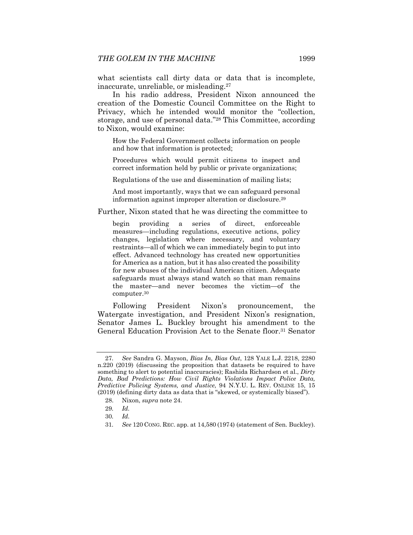what scientists call dirty data or data that is incomplete, inaccurate, unreliable, or misleading.27

In his radio address, President Nixon announced the creation of the Domestic Council Committee on the Right to Privacy, which he intended would monitor the "collection, storage, and use of personal data."28 This Committee, according to Nixon, would examine:

How the Federal Government collects information on people and how that information is protected;

Procedures which would permit citizens to inspect and correct information held by public or private organizations;

Regulations of the use and dissemination of mailing lists;

And most importantly, ways that we can safeguard personal information against improper alteration or disclosure.29

Further, Nixon stated that he was directing the committee to

begin providing a series of direct, enforceable measures—including regulations, executive actions, policy changes, legislation where necessary, and voluntary restraints—all of which we can immediately begin to put into effect. Advanced technology has created new opportunities for America as a nation, but it has also created the possibility for new abuses of the individual American citizen. Adequate safeguards must always stand watch so that man remains the master—and never becomes the victim—of the computer.30

Following President Nixon's pronouncement, the Watergate investigation, and President Nixon's resignation, Senator James L. Buckley brought his amendment to the General Education Provision Act to the Senate floor.31 Senator

<sup>27</sup>*. See* Sandra G. Mayson, *Bias In, Bias Out*, 128 YALE L.J. 2218, 2280 n.220 (2019) (discussing the proposition that datasets be required to have something to alert to potential inaccuracies); Rashida Richardson et al., *Dirty Data, Bad Predictions: How Civil Rights Violations Impact Police Data, Predictive Policing Systems, and Justice*, 94 N.Y.U. L. REV. ONLINE 15, 15 (2019) (defining dirty data as data that is "skewed, or systemically biased").

 <sup>28.</sup> Nixon, *supra* note 24.

<sup>29</sup>*. Id.*

<sup>30</sup>*. Id.*

<sup>31</sup>*. See* 120 CONG. REC. app. at 14,580 (1974) (statement of Sen. Buckley).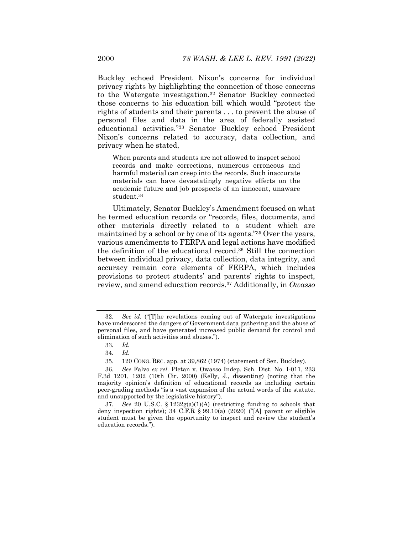Buckley echoed President Nixon's concerns for individual privacy rights by highlighting the connection of those concerns to the Watergate investigation.32 Senator Buckley connected those concerns to his education bill which would "protect the rights of students and their parents . . . to prevent the abuse of personal files and data in the area of federally assisted educational activities."33 Senator Buckley echoed President Nixon's concerns related to accuracy, data collection, and privacy when he stated,

When parents and students are not allowed to inspect school records and make corrections, numerous erroneous and harmful material can creep into the records. Such inaccurate materials can have devastatingly negative effects on the academic future and job prospects of an innocent, unaware student.34

Ultimately, Senator Buckley's Amendment focused on what he termed education records or "records, files, documents, and other materials directly related to a student which are maintained by a school or by one of its agents."35 Over the years, various amendments to FERPA and legal actions have modified the definition of the educational record.36 Still the connection between individual privacy, data collection, data integrity, and accuracy remain core elements of FERPA, which includes provisions to protect students' and parents' rights to inspect, review, and amend education records.37 Additionally, in *Owasso* 

<sup>32</sup>*. See id.* ("[T]he revelations coming out of Watergate investigations have underscored the dangers of Government data gathering and the abuse of personal files, and have generated increased public demand for control and elimination of such activities and abuses.").

<sup>33</sup>*. Id.*

<sup>34</sup>*. Id.*

 <sup>35. 120</sup> CONG. REC. app. at 39,862 (1974) (statement of Sen. Buckley).

<sup>36</sup>*. See* Falvo *ex rel.* Pletan v. Owasso Indep. Sch. Dist. No. I-011, 233 F.3d 1201, 1202 (10th Cir. 2000) (Kelly, J., dissenting) (noting that the majority opinion's definition of educational records as including certain peer-grading methods "is a vast expansion of the actual words of the statute, and unsupported by the legislative history").

<sup>37</sup>*. See* 20 U.S.C. § 1232g(a)(1)(A) (restricting funding to schools that deny inspection rights); 34 C.F.R § 99.10(a) (2020) ("[A] parent or eligible student must be given the opportunity to inspect and review the student's education records.").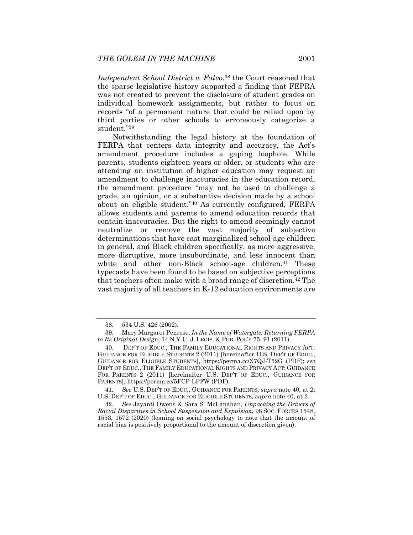*Independent School District v. Falvo*,<sup>38</sup> the Court reasoned that the sparse legislative history supported a finding that FEPRA was not created to prevent the disclosure of student grades on individual homework assignments, but rather to focus on records "of a permanent nature that could be relied upon by third parties or other schools to erroneously categorize a student."39

Notwithstanding the legal history at the foundation of FERPA that centers data integrity and accuracy, the Act's amendment procedure includes a gaping loophole. While parents, students eighteen years or older, or students who are attending an institution of higher education may request an amendment to challenge inaccuracies in the education record, the amendment procedure "may not be used to challenge a grade, an opinion, or a substantive decision made by a school about an eligible student."40 As currently configured, FERPA allows students and parents to amend education records that contain inaccuracies. But the right to amend seemingly cannot neutralize or remove the vast majority of subjective determinations that have cast marginalized school-age children in general, and Black children specifically, as more aggressive, more disruptive, more insubordinate, and less innocent than white and other non-Black school-age children.<sup>41</sup> These typecasts have been found to be based on subjective perceptions that teachers often make with a broad range of discretion.42 The vast majority of all teachers in K-12 education environments are

 <sup>38. 534</sup> U.S. 426 (2002).

 <sup>39.</sup> Mary Margaret Penrose, *In the Name of Watergate: Returning FERPA to Its Original Design*, 14 N.Y.U. J. LEGIS. & PUB. POL'Y 75, 91 (2011).

 <sup>40.</sup> DEP'T OF EDUC., THE FAMILY EDUCATIONAL RIGHTS AND PRIVACY ACT: GUIDANCE FOR ELIGIBLE STUDENTS 2 (2011) [hereinafter U.S. DEP'T OF EDUC., GUIDANCE FOR ELIGIBLE STUDENTS], https://perma.cc/X7QJ-T52G (PDF); *see*  DEP'T OF EDUC., THE FAMILY EDUCATIONAL RIGHTS AND PRIVACY ACT: GUIDANCE FOR PARENTS 2 (2011) [hereinafter U.S. DEP'T OF EDUC., GUIDANCE FOR PARENTS], https://perma.cc/5FCP-LPFW (PDF).

<sup>41</sup>*. See* U.S. DEP'T OF EDUC., GUIDANCE FOR PARENTS*, supra* note 40, at 2; U.S. DEP'T OF EDUC., GUIDANCE FOR ELIGIBLE STUDENTS*, supra* note 40, at 2*.*

<sup>42</sup>*. See* Jayanti Owens & Sara S. McLanahan, *Unpacking the Drivers of Racial Disparities in School Suspension and Expulsion*, 98 SOC. FORCES 1548, 1553, 1572 (2020) (leaning on social psychology to note that the amount of racial bias is positively proportional to the amount of discretion given).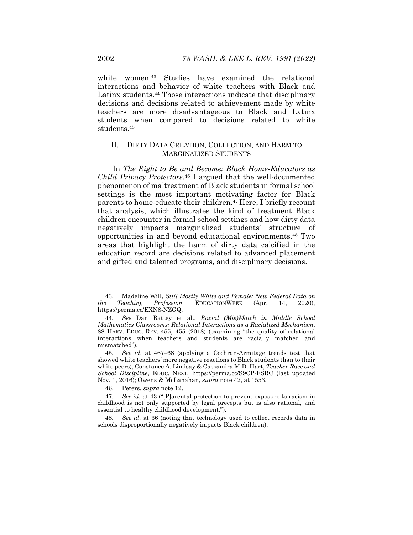white women.43 Studies have examined the relational interactions and behavior of white teachers with Black and Latinx students.<sup>44</sup> Those interactions indicate that disciplinary decisions and decisions related to achievement made by white teachers are more disadvantageous to Black and Latinx students when compared to decisions related to white students.45

## II. DIRTY DATA CREATION, COLLECTION, AND HARM TO MARGINALIZED STUDENTS

In *The Right to Be and Become: Black Home-Educators as Child Privacy Protectors*,<sup>46</sup> I argued that the well-documented phenomenon of maltreatment of Black students in formal school settings is the most important motivating factor for Black parents to home-educate their children.47 Here, I briefly recount that analysis, which illustrates the kind of treatment Black children encounter in formal school settings and how dirty data negatively impacts marginalized students' structure of opportunities in and beyond educational environments.48 Two areas that highlight the harm of dirty data calcified in the education record are decisions related to advanced placement and gifted and talented programs, and disciplinary decisions.

46. Peters, *supra* note 12.

 <sup>43.</sup> Madeline Will, *Still Mostly White and Female: New Federal Data on the Teaching Profession*, EDUCATIONWEEK (Apr. 14, 2020), https://perma.cc/EXN8-NZGQ.

<sup>44</sup>*. See* Dan Battey et al., *Racial (Mis)Match in Middle School Mathematics Classrooms: Relational Interactions as a Racialized Mechanism*, 88 HARV. EDUC. REV. 455, 455 (2018) (examining "the quality of relational interactions when teachers and students are racially matched and mismatched").

<sup>45</sup>*. See id.* at 467–68 (applying a Cochran-Armitage trends test that showed white teachers' more negative reactions to Black students than to their white peers); Constance A. Lindsay & Cassandra M.D. Hart, *Teacher Race and School Discipline*, EDUC. NEXT, https://perma.cc/S9CP-FSRC (last updated Nov. 1, 2016); Owens & McLanahan, *supra* note 42, at 1553.

<sup>47</sup>*. See id.* at 43 ("[P]arental protection to prevent exposure to racism in childhood is not only supported by legal precepts but is also rational, and essential to healthy childhood development.").

<sup>48</sup>*. See id.* at 36 (noting that technology used to collect records data in schools disproportionally negatively impacts Black children).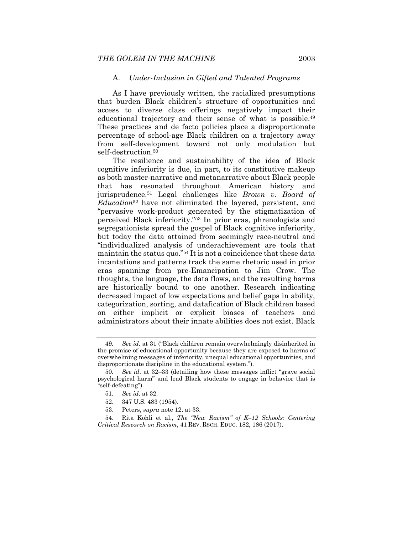#### A. *Under-Inclusion in Gifted and Talented Programs*

As I have previously written, the racialized presumptions that burden Black children's structure of opportunities and access to diverse class offerings negatively impact their educational trajectory and their sense of what is possible.<sup>49</sup> These practices and de facto policies place a disproportionate percentage of school-age Black children on a trajectory away from self-development toward not only modulation but self-destruction.<sup>50</sup>

The resilience and sustainability of the idea of Black cognitive inferiority is due, in part, to its constitutive makeup as both master-narrative and metanarrative about Black people that has resonated throughout American history and jurisprudence.51 Legal challenges like *Brown v. Board of Education*52 have not eliminated the layered, persistent, and "pervasive work-product generated by the stigmatization of perceived Black inferiority."53 In prior eras, phrenologists and segregationists spread the gospel of Black cognitive inferiority, but today the data attained from seemingly race-neutral and "individualized analysis of underachievement are tools that maintain the status quo."54 It is not a coincidence that these data incantations and patterns track the same rhetoric used in prior eras spanning from pre-Emancipation to Jim Crow. The thoughts, the language, the data flows, and the resulting harms are historically bound to one another. Research indicating decreased impact of low expectations and belief gaps in ability, categorization, sorting, and datafication of Black children based on either implicit or explicit biases of teachers and administrators about their innate abilities does not exist. Black

<sup>49</sup>*. See id.* at 31 ("Black children remain overwhelmingly disinherited in the promise of educational opportunity because they are exposed to harms of overwhelming messages of inferiority, unequal educational opportunities, and disproportionate discipline in the educational system.").

<sup>50</sup>*. See id*. at 32–33 (detailing how these messages inflict "grave social psychological harm" and lead Black students to engage in behavior that is "self-defeating").

<sup>51</sup>*. See id*. at 32.

 <sup>52. 347</sup> U.S. 483 (1954).

 <sup>53.</sup> Peters, *supra* note 12, at 33.

 <sup>54.</sup> Rita Kohli et al., *The "New Racism" of K–12 Schools: Centering Critical Research on Racism*, 41 REV. RSCH. EDUC. 182, 186 (2017).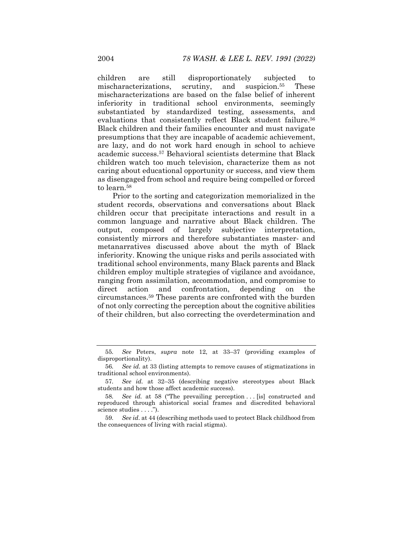children are still disproportionately subjected to mischaracterizations, scrutiny, and suspicion.55 These mischaracterizations are based on the false belief of inherent inferiority in traditional school environments, seemingly substantiated by standardized testing, assessments, and evaluations that consistently reflect Black student failure.<sup>56</sup> Black children and their families encounter and must navigate presumptions that they are incapable of academic achievement, are lazy, and do not work hard enough in school to achieve academic success.57 Behavioral scientists determine that Black children watch too much television, characterize them as not caring about educational opportunity or success, and view them as disengaged from school and require being compelled or forced to learn <sup>58</sup>

Prior to the sorting and categorization memorialized in the student records, observations and conversations about Black children occur that precipitate interactions and result in a common language and narrative about Black children. The output, composed of largely subjective interpretation, consistently mirrors and therefore substantiates master- and metanarratives discussed above about the myth of Black inferiority. Knowing the unique risks and perils associated with traditional school environments, many Black parents and Black children employ multiple strategies of vigilance and avoidance, ranging from assimilation, accommodation, and compromise to direct action and confrontation, depending on the circumstances.59 These parents are confronted with the burden of not only correcting the perception about the cognitive abilities of their children, but also correcting the overdetermination and

<sup>55</sup>*. See* Peters, *supra* note 12, at 33–37 (providing examples of disproportionality).

<sup>56</sup>*. See id.* at 33 (listing attempts to remove causes of stigmatizations in traditional school environments).

<sup>57</sup>*. See id.* at 32–35 (describing negative stereotypes about Black students and how those affect academic success).

<sup>58.</sup> See id. at 58 ("The prevailing perception . . . [is] constructed and reproduced through ahistorical social frames and discredited behavioral science studies . . . .").

<sup>59</sup>*. See id*. at 44 (describing methods used to protect Black childhood from the consequences of living with racial stigma).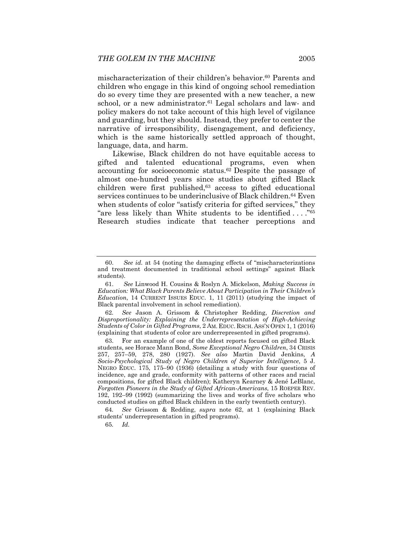mischaracterization of their children's behavior.<sup>60</sup> Parents and children who engage in this kind of ongoing school remediation do so every time they are presented with a new teacher, a new school, or a new administrator.<sup>61</sup> Legal scholars and law- and policy makers do not take account of this high level of vigilance and guarding, but they should. Instead, they prefer to center the narrative of irresponsibility, disengagement, and deficiency, which is the same historically settled approach of thought, language, data, and harm.

Likewise, Black children do not have equitable access to gifted and talented educational programs, even when accounting for socioeconomic status.62 Despite the passage of almost one-hundred years since studies about gifted Black children were first published,<sup>63</sup> access to gifted educational services continues to be underinclusive of Black children.<sup>64</sup> Even when students of color "satisfy criteria for gifted services," they "are less likely than White students to be identified  $\dots$ ."<sup>65</sup> Research studies indicate that teacher perceptions and

62*. See* Jason A. Grissom & Christopher Redding, *Discretion and Disproportionality: Explaining the Underrepresentation of High-Achieving Students of Color in Gifted Programs*, 2 AM. EDUC. RSCH. ASS'N OPEN 1, 1 (2016) (explaining that students of color are underrepresented in gifted programs).

 63. For an example of one of the oldest reports focused on gifted Black students, see Horace Mann Bond, *Some Exceptional Negro Children*, 34 CRISIS 257, 257–59, 278, 280 (1927). *See also* Martin David Jenkins, *A Socio-Psychological Study of Negro Children of Superior Intelligence*, 5 J. NEGRO EDUC. 175, 175–90 (1936) (detailing a study with four questions of incidence, age and grade, conformity with patterns of other races and racial compositions, for gifted Black children); Katheryn Kearney & Jené LeBlanc, *Forgotten Pioneers in the Study of Gifted African-Americans*, 15 ROEPER REV. 192, 192–99 (1992) (summarizing the lives and works of five scholars who conducted studies on gifted Black children in the early twentieth century).

64*. See* Grissom & Redding, *supra* note 62, at 1 (explaining Black students' underrepresentation in gifted programs).

65*. Id.*

 <sup>60.</sup> *See id.* at 54 (noting the damaging effects of "mischaracterizations and treatment documented in traditional school settings" against Black students).

 <sup>61.</sup> *See* Linwood H. Cousins & Roslyn A. Mickelson, *Making Success in Education: What Black Parents Believe About Participation in Their Children's Education*, 14 CURRENT ISSUES EDUC. 1, 11 (2011) (studying the impact of Black parental involvement in school remediation).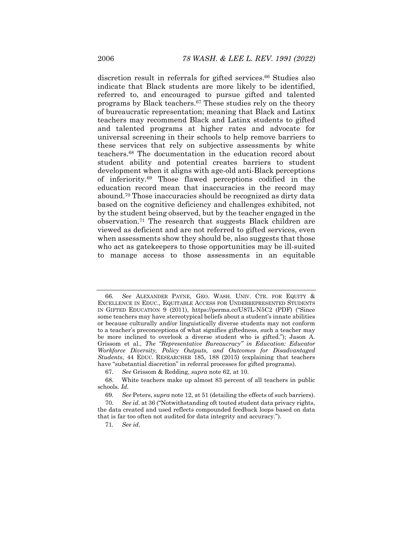discretion result in referrals for gifted services.<sup>66</sup> Studies also indicate that Black students are more likely to be identified, referred to, and encouraged to pursue gifted and talented programs by Black teachers.67 These studies rely on the theory of bureaucratic representation; meaning that Black and Latinx teachers may recommend Black and Latinx students to gifted and talented programs at higher rates and advocate for universal screening in their schools to help remove barriers to these services that rely on subjective assessments by white teachers.68 The documentation in the education record about student ability and potential creates barriers to student development when it aligns with age-old anti-Black perceptions of inferiority.69 Those flawed perceptions codified in the education record mean that inaccuracies in the record may abound.70 Those inaccuracies should be recognized as dirty data based on the cognitive deficiency and challenges exhibited, not by the student being observed, but by the teacher engaged in the observation.71 The research that suggests Black children are viewed as deficient and are not referred to gifted services, even when assessments show they should be, also suggests that those who act as gatekeepers to those opportunities may be ill-suited to manage access to those assessments in an equitable

<sup>66</sup>*. See* ALEXANDER PAYNE, GEO. WASH. UNIV. CTR. FOR EQUITY & EXCELLENCE IN EDUC., EQUITABLE ACCESS FOR UNDERREPRESENTED STUDENTS IN GIFTED EDUCATION 9 (2011), https://perma.cc/U87L-N5C2 (PDF) ("Since some teachers may have stereotypical beliefs about a student's innate abilities or because culturally and/or linguistically diverse students may not conform to a teacher's preconceptions of what signifies giftedness, such a teacher may be more inclined to overlook a diverse student who is gifted."); Jason A. Grissom et al., *The "Representative Bureaucracy" in Education: Educator Workforce Diversity, Policy Outputs, and Outcomes for Disadvantaged Students*, 44 EDUC. RESEARCHER 185, 188 (2015) (explaining that teachers have "substantial discretion" in referral processes for gifted programs).

<sup>67</sup>*. See* Grissom & Redding, *supra* note 62, at 10.

 <sup>68.</sup> White teachers make up almost 83 percent of all teachers in public schools. *Id.*

<sup>69</sup>*. See* Peters, *supra* note 12, at 51 (detailing the effects of such barriers).

<sup>70</sup>*. See id*. at 36 ("Notwithstanding oft touted student data privacy rights, the data created and used reflects compounded feedback loops based on data that is far too often not audited for data integrity and accuracy.").

<sup>71</sup>*. See id*.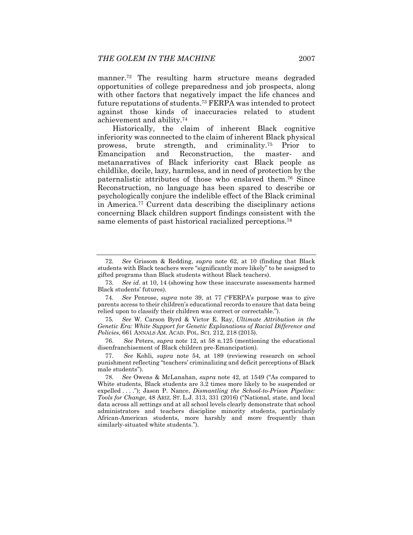manner.72 The resulting harm structure means degraded opportunities of college preparedness and job prospects, along with other factors that negatively impact the life chances and future reputations of students.73 FERPA was intended to protect against those kinds of inaccuracies related to student achievement and ability.74

Historically, the claim of inherent Black cognitive inferiority was connected to the claim of inherent Black physical prowess, brute strength, and criminality.75 Prior to Emancipation and Reconstruction, the master- and metanarratives of Black inferiority cast Black people as childlike, docile, lazy, harmless, and in need of protection by the paternalistic attributes of those who enslaved them.76 Since Reconstruction, no language has been spared to describe or psychologically conjure the indelible effect of the Black criminal in America.77 Current data describing the disciplinary actions concerning Black children support findings consistent with the same elements of past historical racialized perceptions.<sup>78</sup>

<sup>72</sup>*. See* Grissom & Redding, *supra* note 62, at 10 (finding that Black students with Black teachers were "significantly more likely" to be assigned to gifted programs than Black students without Black teachers).

<sup>73</sup>*. See id*. at 10, 14 (showing how these inaccurate assessments harmed Black students' futures).

<sup>74</sup>*. See* Penrose, *supra* note 39, at 77 ("FERPA's purpose was to give parents access to their children's educational records to ensure that data being relied upon to classify their children was correct or correctable.").

<sup>75</sup>*. See* W. Carson Byrd & Victor E. Ray, *Ultimate Attribution in the Genetic Era: White Support for Genetic Explanations of Racial Difference and Policies*, 661 ANNALS AM. ACAD. POL. SCI. 212, 218 (2015).

 <sup>76.</sup> *See* Peters, *supra* note 12, at 58 n.125 (mentioning the educational disenfranchisement of Black children pre-Emancipation).

 <sup>77.</sup> *See* Kohli, *supra* note 54, at 189 (reviewing research on school punishment reflecting "teachers' criminalizing and deficit perceptions of Black male students").

<sup>78</sup>*. See* Owens & McLanahan, *supra* note 42, at 1549 ("As compared to White students, Black students are 3.2 times more likely to be suspended or expelled . . . ."); Jason P. Nance, *Dismantling the School-to-Prison Pipeline: Tools for Change*, 48 ARIZ. ST. L.J. 313, 331 (2016) ("National, state, and local data across all settings and at all school levels clearly demonstrate that school administrators and teachers discipline minority students, particularly African-American students, more harshly and more frequently than similarly-situated white students.").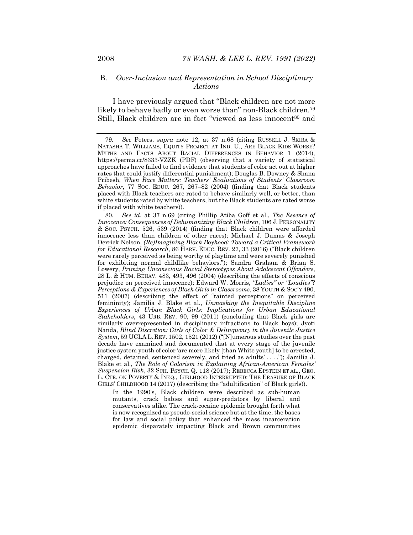## B. *Over-Inclusion and Representation in School Disciplinary Actions*

I have previously argued that "Black children are not more likely to behave badly or even worse than" non-Black children.79 Still, Black children are in fact "viewed as less innocent<sup>80</sup> and

80*. See id*. at 37 n.69 (citing Phillip Atiba Goff et al., *The Essence of Innocence: Consequences of Dehumanizing Black Children*, 106 J. PERSONALITY & SOC. PSYCH. 526, 539 (2014) (finding that Black children were afforded innocence less than children of other races); Michael J. Dumas & Joseph Derrick Nelson, *(Re)Imagining Black Boyhood: Toward a Critical Framework for Educational Research*, 86 HARV. EDUC. REV. 27, 33 (2016) ("Black children were rarely perceived as being worthy of playtime and were severely punished for exhibiting normal childlike behaviors."); Sandra Graham & Brian S. Lowery, *Priming Unconscious Racial Stereotypes About Adolescent Offenders*, 28 L. & HUM. BEHAV. 483, 493, 496 (2004) (describing the effects of conscious prejudice on perceived innocence); Edward W. Morris, *"Ladies" or "Loudies"? Perceptions & Experiences of Black Girls in Classrooms*, 38 YOUTH & SOC'Y 490, 511 (2007) (describing the effect of "tainted perceptions" on perceived femininity); Jamilia J. Blake et al., *Unmasking the Inequitable Discipline Experiences of Urban Black Girls: Implications for Urban Educational Stakeholders*, 43 URB. REV. 90, 99 (2011) (concluding that Black girls are similarly overrepresented in disciplinary infractions to Black boys); Jyoti Nanda, *Blind Discretion: Girls of Color & Delinquency in the Juvenile Justice System*, 59 UCLA L. REV. 1502, 1521 (2012) ("[N]umerous studies over the past decade have examined and documented that at every stage of the juvenile justice system youth of color 'are more likely [than White youth] to be arrested, charged, detained, sentenced severely, and tried as adults' . . . ."); Jamilia J. Blake et al., *The Role of Colorism in Explaining African-American Females' Suspension Risk*, 32 SCH. PSYCH. Q. 118 (2017); REBECCA EPSTEIN ET AL., GEO. L. CTR. ON POVERTY & INEQ., GIRLHOOD INTERRUPTED: THE ERASURE OF BLACK GIRLS' CHILDHOOD 14 (2017) (describing the "adultification" of Black girls)).

In the 1990's, Black children were described as sub-human mutants, crack babies and super-predators by liberal and conservatives alike. The crack-cocaine epidemic brought forth what is now recognized as pseudo-social science but at the time, the bases for law and social policy that enhanced the mass incarceration epidemic disparately impacting Black and Brown communities

<sup>79</sup>*. See* Peters, *supra* note 12, at 37 n.68 (citing RUSSELL J. SKIBA & NATASHA T. WILLIAMS, EQUITY PROJECT AT IND. U., ARE BLACK KIDS WORSE? MYTHS AND FACTS ABOUT RACIAL DIFFERENCES IN BEHAVIOR 1 (2014), https://perma.cc/8333-VZZK (PDF) (observing that a variety of statistical approaches have failed to find evidence that students of color act out at higher rates that could justify differential punishment); Douglas B. Downey & Shana Pribesh, *When Race Matters: Teachers' Evaluations of Students' Classroom Behavior*, 77 SOC. EDUC. 267, 267–82 (2004) (finding that Black students placed with Black teachers are rated to behave similarly well, or better, than white students rated by white teachers, but the Black students are rated worse if placed with white teachers)).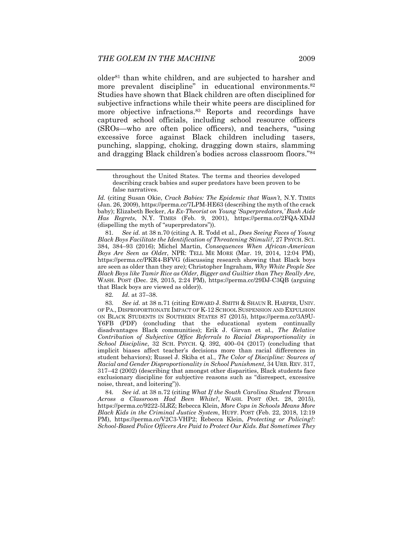older81 than white children, and are subjected to harsher and more prevalent discipline" in educational environments.<sup>82</sup> Studies have shown that Black children are often disciplined for subjective infractions while their white peers are disciplined for more objective infractions.83 Reports and recordings have captured school officials, including school resource officers (SROs—who are often police officers), and teachers, "using excessive force against Black children including tasers, punching, slapping, choking, dragging down stairs, slamming and dragging Black children's bodies across classroom floors."84

81*. See id.* at 38 n.70 (citing A. R. Todd et al., *Does Seeing Faces of Young Black Boys Facilitate the Identification of Threatening Stimuli?*, 27 PSYCH. SCI. 384, 384–93 (2016); Michel Martin, *Consequences When African-American Boys Are Seen as Olde*r, NPR: TELL ME MORE (Mar. 19, 2014, 12:04 PM), https://perma.cc/PKR4-BFVG (discussing research showing that Black boys are seen as older than they are); Christopher Ingraham, *Why White People See Black Boys like Tamir Rice as Older, Bigger and Guiltier than They Really Are*, WASH. POST (Dec. 28, 2015, 2:24 PM), https://perma.cc/29DJ-C3QB (arguing that Black boys are viewed as older)).

82*. Id.* at 37–38.

83*. See id.* at 38 n.71 (citing EDWARD J. SMITH & SHAUN R. HARPER, UNIV. OF PA., DISPROPORTIONATE IMPACT OF K-12 SCHOOL SUSPENSION AND EXPULSION ON BLACK STUDENTS IN SOUTHERN STATES 87 (2015), https://perma.cc/3A9U-Y6FB (PDF) (concluding that the educational system continually disadvantages Black communities); Erik J. Girvan et al., *The Relative Contribution of Subjective Office Referrals to Racial Disproportionality in School Discipline*, 32 SCH. PSYCH. Q. 392, 400–04 (2017) (concluding that implicit biases affect teacher's decisions more than racial differences in student behaviors); Russel J. Skiba et al., *The Color of Discipline: Sources of Racial and Gender Disproportionality in School Punishment*, 34 URB. REV. 317, 317–42 (2002) (describing that amongst other disparities, Black students face exclusionary discipline for subjective reasons such as "disrespect, excessive noise, threat, and loitering")).

84*. See id*. at 38 n.72 (citing *What If the South Carolina Student Thrown Across a Classroom Had Been White?*, WASH. POST (Oct. 28, 2015), https://perma.cc/9222-5LRZ; Rebecca Klein, *More Cops in Schools Means More Black Kids in the Criminal Justice System*, HUFF. POST (Feb. 22, 2018, 12:19 PM), https://perma.cc/V2C3-VHP2; Rebecca Klein, *Protecting or Policing?: School-Based Police Officers Are Paid to Protect Our Kids. But Sometimes They* 

throughout the United States. The terms and theories developed describing crack babies and super predators have been proven to be false narratives.

*Id.* (citing Susan Okie, *Crack Babies: The Epidemic that Wasn't*, N.Y. TIMES (Jan. 26, 2009), https://perma.cc/7LPM-HE63 (describing the myth of the crack baby); Elizabeth Becker, *As Ex-Theorist on Young 'Superpredators,' Bush Aide Has Regrets*, N.Y. TIMES (Feb. 9, 2001), https://perma.cc/2FQA-XDJJ (dispelling the myth of "superpredators")).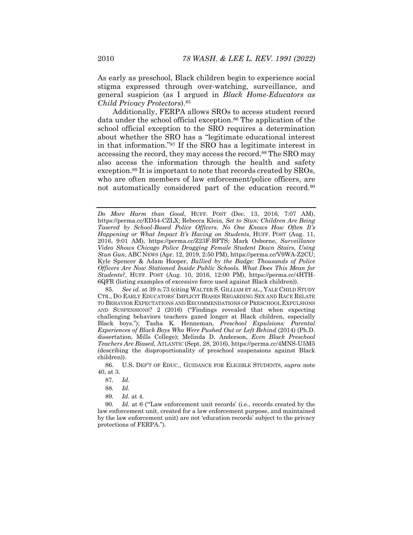As early as preschool, Black children begin to experience social stigma expressed through over-watching, surveillance, and general suspicion (as I argued in *Black Home-Educators as Child Privacy Protectors*).85

Additionally, FERPA allows SROs to access student record data under the school official exception.<sup>86</sup> The application of the school official exception to the SRO requires a determination about whether the SRO has a "legitimate educational interest in that information."87 If the SRO has a legitimate interest in accessing the record, they may access the record.<sup>88</sup> The SRO may also access the information through the health and safety exception.89 It is important to note that records created by SROs, who are often members of law enforcement/police officers, are not automatically considered part of the education record.<sup>90</sup>

 86. U.S. DEP'T OF EDUC., GUIDANCE FOR ELIGIBLE STUDENTS, *supra* note 40, at 3.

90*. Id.* at 6 ("'Law enforcement unit records' (i.e., records created by the law enforcement unit, created for a law enforcement purpose, and maintained by the law enforcement unit) are not 'education records' subject to the privacy protections of FERPA.").

*Do More Harm than Good*, HUFF. POST (Dec. 13, 2016, 7:07 AM), https://perma.cc/ED54-CZLX; Rebecca Klein, *Set to Stun: Children Are Being Tasered by School-Based Police Officers*. *No One Knows How Often It's Happening or What Impact It's Having on Students*, HUFF. POST (Aug. 11, 2016, 9:01 AM), https://perma.cc/Z23F-BFTS; Mark Osborne, *Surveillance Video Shows Chicago Police Dragging Female Student Down Stairs, Using Stun Gun*, ABC NEWS (Apr. 12, 2019, 2:50 PM), https://perma.cc/V9WA-Z2CU; Kyle Spencer & Adam Hooper, *Bullied by the Badge: Thousands of Police Officers Are Now Stationed Inside Public Schools. What Does This Mean for Students?*, HUFF. POST (Aug. 10, 2016, 12:00 PM), https://perma.cc/4HTH-6QFR (listing examples of excessive force used against Black children)).

<sup>85</sup>*. See id.* at 39 n.73 (citing WALTER S. GILLIAM ET AL., YALE CHILD STUDY CTR., DO EARLY EDUCATORS' IMPLICIT BIASES REGARDING SEX AND RACE RELATE TO BEHAVIOR EXPECTATIONS AND RECOMMENDATIONS OF PRESCHOOL EXPULSIONS AND SUSPENSIONS? 2 (2016) ("Findings revealed that when expecting challenging behaviors teachers gazed longer at Black children, especially Black boys."); Tasha K. Henneman, *Preschool Expulsions: Parental Experiences of Black Boys Who Were Pushed Out or Left Behind* (2014) (Ph.D. dissertation, Mills College); Melinda D. Anderson, *Even Black Preschool Teachers Are Biased*, ATLANTIC (Sept. 28, 2016), https://perma.cc/4MNS-U5M5 (describing the disproportionality of preschool suspensions against Black children)).

<sup>87</sup>*. Id.*

<sup>88</sup>*. Id.*

<sup>89</sup>*. Id.* at 4.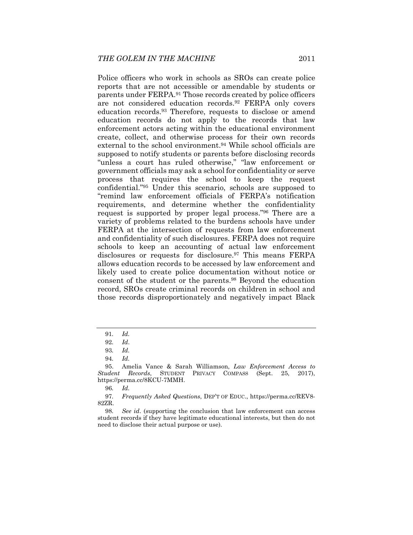Police officers who work in schools as SROs can create police reports that are not accessible or amendable by students or parents under FERPA.91 Those records created by police officers are not considered education records.92 FERPA only covers education records.93 Therefore, requests to disclose or amend education records do not apply to the records that law enforcement actors acting within the educational environment create, collect, and otherwise process for their own records external to the school environment.94 While school officials are supposed to notify students or parents before disclosing records "unless a court has ruled otherwise," "law enforcement or government officials may ask a school for confidentiality or serve process that requires the school to keep the request confidential."95 Under this scenario, schools are supposed to "remind law enforcement officials of FERPA's notification requirements, and determine whether the confidentiality request is supported by proper legal process."96 There are a variety of problems related to the burdens schools have under FERPA at the intersection of requests from law enforcement and confidentiality of such disclosures. FERPA does not require schools to keep an accounting of actual law enforcement disclosures or requests for disclosure.97 This means FERPA allows education records to be accessed by law enforcement and likely used to create police documentation without notice or consent of the student or the parents.98 Beyond the education record, SROs create criminal records on children in school and those records disproportionately and negatively impact Black

<sup>91</sup>*. Id.*

<sup>92</sup>*. Id*.

<sup>93</sup>*. Id.*

<sup>94</sup>*. Id.*

 <sup>95.</sup> Amelia Vance & Sarah Williamson, *Law Enforcement Access to Student Records*, STUDENT PRIVACY COMPASS (Sept. 25, 2017), https://perma.cc/8KCU-7MMH.

<sup>96</sup>*. Id.*

<sup>97</sup>*. Frequently Asked Questions*, DEP'T OF EDUC., https://perma.cc/REV8- 82ZR.

<sup>98</sup>*. See id*. (supporting the conclusion that law enforcement can access student records if they have legitimate educational interests, but then do not need to disclose their actual purpose or use).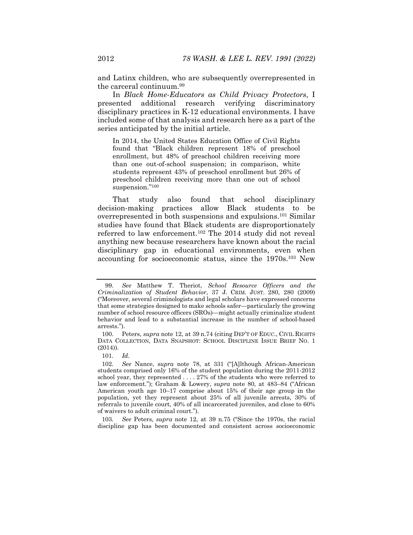and Latinx children, who are subsequently overrepresented in the carceral continuum.99

In *Black Home-Educators as Child Privacy Protectors*, I presented additional research verifying discriminatory disciplinary practices in K-12 educational environments. I have included some of that analysis and research here as a part of the series anticipated by the initial article.

In 2014, the United States Education Office of Civil Rights found that "Black children represent 18% of preschool enrollment, but 48% of preschool children receiving more than one out-of-school suspension; in comparison, white students represent 43% of preschool enrollment but 26% of preschool children receiving more than one out of school suspension."100

That study also found that school disciplinary decision-making practices allow Black students to be overrepresented in both suspensions and expulsions.101 Similar studies have found that Black students are disproportionately referred to law enforcement.102 The 2014 study did not reveal anything new because researchers have known about the racial disciplinary gap in educational environments, even when accounting for socioeconomic status, since the 1970s.103 New

103*. See* Peters, *supra* note 12, at 39 n.75 ("Since the 1970s, the racial discipline gap has been documented and consistent across socioeconomic

<sup>99</sup>*. See* Matthew T. Theriot, *School Resource Officers and the Criminalization of Student Behavior*, 37 J. CRIM. JUST. 280, 280 (2009) ("Moreover, several criminologists and legal scholars have expressed concerns that some strategies designed to make schools safer—particularly the growing number of school resource officers (SROs)—might actually criminalize student behavior and lead to a substantial increase in the number of school-based arrests.").

 <sup>100.</sup> Peters, *supra* note 12, at 39 n.74 (citing DEP'T OF EDUC., CIVIL RIGHTS DATA COLLECTION, DATA SNAPSHOT: SCHOOL DISCIPLINE ISSUE BRIEF NO. 1 (2014)).

<sup>101</sup>*. Id.* 

<sup>102</sup>*. See* Nance, *supra* note 78, at 331 ("[A]lthough African-American students comprised only 16% of the student population during the 2011-2012 school year, they represented . . . . 27% of the students who were referred to law enforcement."); Graham & Lowery, *supra* note 80, at 483–84 ("African American youth age 10–17 comprise about 15% of their age group in the population, yet they represent about 25% of all juvenile arrests, 30% of referrals to juvenile court, 40% of all incarcerated juveniles, and close to 60% of waivers to adult criminal court.").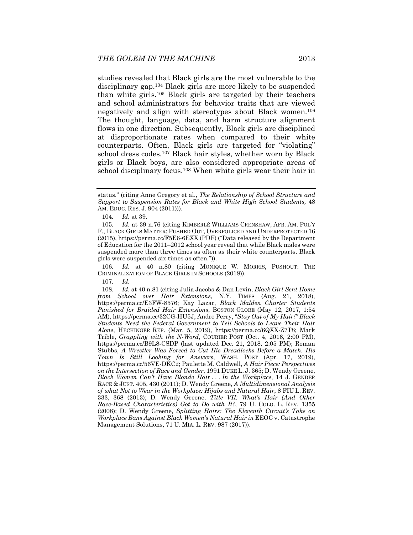studies revealed that Black girls are the most vulnerable to the disciplinary gap.104 Black girls are more likely to be suspended than white girls.105 Black girls are targeted by their teachers and school administrators for behavior traits that are viewed negatively and align with stereotypes about Black women.106 The thought, language, data, and harm structure alignment flows in one direction. Subsequently, Black girls are disciplined at disproportionate rates when compared to their white counterparts. Often, Black girls are targeted for "violating" school dress codes.107 Black hair styles, whether worn by Black girls or Black boys, are also considered appropriate areas of school disciplinary focus.108 When white girls wear their hair in

106*. Id.* at 40 n.80 (citing MONIQUE W. MORRIS, PUSHOUT: THE CRIMINALIZATION OF BLACK GIRLS IN SCHOOLS (2018)).

107*. Id.*

108*. Id.* at 40 n.81 (citing Julia Jacobs & Dan Levin, *Black Girl Sent Home from School over Hair Extensions*, N.Y. TIMES (Aug. 21, 2018), https://perma.cc/E3FW-8576; Kay Lazar, *Black Malden Charter Students Punished for Braided Hair Extensions*, BOSTON GLOBE (May 12, 2017, 1:54 AM), https://perma.cc/32CG-HU5J; Andre Perry, "*Stay Out of My Hair!" Black Students Need the Federal Government to Tell Schools to Leave Their Hair Alone*, HECHINGER REP. (Mar. 5, 2019), https://perma.cc/6QXX-Z7T8; Mark Trible, *Grappling with the N-Word*, COURIER POST (Oct. 4, 2016, 2:00 PM), https://perma.cc/B9L8-CSDP (last updated Dec. 21, 2018, 2:05 PM); Roman Stubbs, *A Wrestler Was Forced to Cut His Dreadlocks Before a Match. His Town Is Still Looking for Answers*, WASH. POST (Apr. 17, 2019), https://perma.cc/56VE-DKC2; Paulette M. Caldwell, *A Hair Piece: Perspectives on the Intersection of Race and Gender*, 1991 DUKE L. J. 365; D. Wendy Greene, *Black Women Can't Have Blonde Hair . . . In the Workplace*, 14 J. GENDER RACE & JUST. 405, 430 (2011); D. Wendy Greene, *A Multidimensional Analysis of what Not to Wear in the Workplace: Hijabs and Natural Hair*, 8 FIU L. REV. 333, 368 (2013); D. Wendy Greene, *Title VII: What's Hair (And Other Race-Based Characteristics) Got to Do with It?*, 79 U. COLO. L. REV. 1355 (2008); D. Wendy Greene, *Splitting Hairs: The Eleventh Circuit's Take on Workplace Bans Against Black Women's Natural Hair in* EEOC v. Catastrophe Management Solutions, 71 U. MIA. L. REV. 987 (2017)).

status." (citing Anne Gregory et al., *The Relationship of School Structure and Support to Suspension Rates for Black and White High School Students,* 48 AM. EDUC. RES. J. 904 (2011))).

<sup>104</sup>*. Id.* at 39.

<sup>105</sup>*. Id.* at 39 n.76 (citing KIMBERLÉ WILLIAMS CRENSHAW, AFR. AM. POL'Y F., BLACK GIRLS MATTER: PUSHED OUT, OVERPOLICED AND UNDERPROTECTED 16 (2015), https://perma.cc/F5E6-6EXX (PDF) ("Data released by the Department of Education for the 2011–2012 school year reveal that while Black males were suspended more than three times as often as their white counterparts, Black girls were suspended six times as often.")).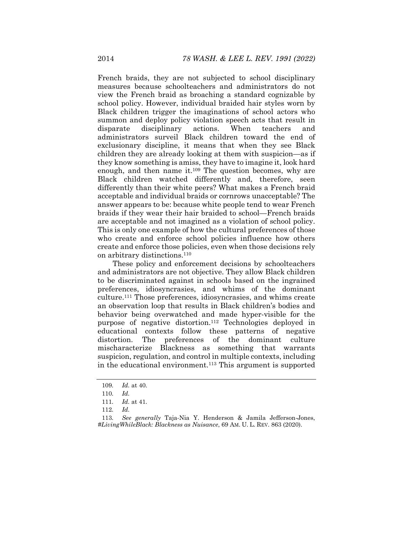French braids, they are not subjected to school disciplinary measures because schoolteachers and administrators do not view the French braid as broaching a standard cognizable by school policy. However, individual braided hair styles worn by Black children trigger the imaginations of school actors who summon and deploy policy violation speech acts that result in disparate disciplinary actions. When teachers and administrators surveil Black children toward the end of exclusionary discipline, it means that when they see Black children they are already looking at them with suspicion—as if they know something is amiss, they have to imagine it, look hard enough, and then name it. $109$  The question becomes, why are Black children watched differently and, therefore, seen differently than their white peers? What makes a French braid acceptable and individual braids or cornrows unacceptable? The answer appears to be: because white people tend to wear French braids if they wear their hair braided to school—French braids are acceptable and not imagined as a violation of school policy. This is only one example of how the cultural preferences of those who create and enforce school policies influence how others create and enforce those policies, even when those decisions rely on arbitrary distinctions.110

These policy and enforcement decisions by schoolteachers and administrators are not objective. They allow Black children to be discriminated against in schools based on the ingrained preferences, idiosyncrasies, and whims of the dominant culture.111 Those preferences, idiosyncrasies, and whims create an observation loop that results in Black children's bodies and behavior being overwatched and made hyper-visible for the purpose of negative distortion.112 Technologies deployed in educational contexts follow these patterns of negative distortion. The preferences of the dominant culture mischaracterize Blackness as something that warrants suspicion, regulation, and control in multiple contexts, including in the educational environment.113 This argument is supported

<sup>109</sup>*. Id.* at 40.

<sup>110</sup>*. Id.*

<sup>111</sup>*. Id.* at 41.

<sup>112</sup>*. Id.*

<sup>113</sup>*. See generally* Taja-Nia Y. Henderson & Jamila Jefferson-Jones, *#LivingWhileBlack: Blackness as Nuisance*, 69 AM. U. L. REV. 863 (2020).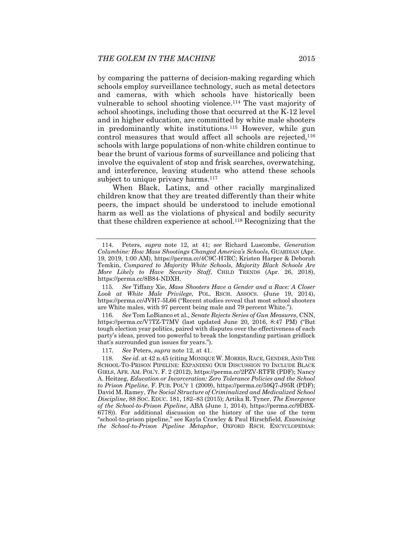by comparing the patterns of decision-making regarding which schools employ surveillance technology, such as metal detectors and cameras, with which schools have historically been vulnerable to school shooting violence.114 The vast majority of school shootings, including those that occurred at the K-12 level and in higher education, are committed by white male shooters in predominantly white institutions.115 However, while gun control measures that would affect all schools are rejected,<sup>116</sup> schools with large populations of non-white children continue to bear the brunt of various forms of surveillance and policing that involve the equivalent of stop and frisk searches, overwatching, and interference, leaving students who attend these schools subject to unique privacy harms.<sup>117</sup>

When Black, Latinx, and other racially marginalized children know that they are treated differently than their white peers, the impact should be understood to include emotional harm as well as the violations of physical and bodily security that these children experience at school.118 Recognizing that the

116*. See* Tom LoBianco et al., *Senate Rejects Series of Gun Measures*, CNN, https://perma.cc/V7TZ-T7MV (last updated June 20, 2016, 8:47 PM) ("But tough election year politics, paired with disputes over the effectiveness of each party's ideas, proved too powerful to break the longstanding partisan gridlock that's surrounded gun issues for years.").

117*. See* Peters, *supra* note 12, at 41.

118*. See id*. at 42 n.45 (citing MONIQUE W. MORRIS, RACE, GENDER, AND THE SCHOOL-TO-PRISON PIPELINE: EXPANDING OUR DISCUSSION TO INCLUDE BLACK GIRLS, AFR. AM. POL'Y. F. 2 (2012), https://perma.cc/2PZV-RTFR (PDF); Nancy A. Heitzeg, *Education or Incarceration: Zero Tolerance Policies and the School to Prison Pipeline*, F. PUB. POL'Y 1 (2009), https://perma.cc/59Q7-J95R (PDF); David M. Ramey, *The Social Structure of Criminalized and Medicalized School Discipline*, 88 SOC. EDUC. 181, 182–83 (2015); Artika R. Tyner, *The Emergence of the School-to-Prison Pipeline*, ABA (June 1, 2014), https://perma.cc/9DBX-6778)). For additional discussion on the history of the use of the term "school-to-prison pipeline," see Kayla Crawley & Paul Hirschfield, *Examining the School-to-Prison Pipeline Metaphor*, OXFORD RSCH. ENCYCLOPEDIAS:

 <sup>114.</sup> Peters, *supra* note 12, at 41; *see* Richard Luscombe, *Generation Columbine: How Mass Shootings Changed America's Schools*, GUARDIAN (Apr. 19, 2019, 1:00 AM), https://perma.cc/4C9C-H7RC; Kristen Harper & Deborah Temkin, *Compared to Majority White Schools, Majority Black Schools Are More Likely to Have Security Staff*, CHILD TRENDS (Apr. 26, 2018), https://perma.cc/8B84-NDXH.

<sup>115</sup>*. See* Tiffany Xie, *Mass Shooters Have a Gender and a Race: A Closer Look at White Male Privilege*, POL. RSCH. ASSOCS. (June 19, 2014), https://perma.cc/JVH7-5L66 ("Recent studies reveal that most school shooters are White males, with 97 percent being male and 79 percent White.").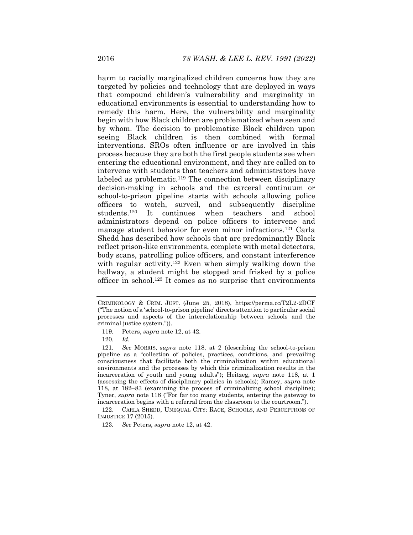harm to racially marginalized children concerns how they are targeted by policies and technology that are deployed in ways that compound children's vulnerability and marginality in educational environments is essential to understanding how to remedy this harm. Here, the vulnerability and marginality begin with how Black children are problematized when seen and by whom. The decision to problematize Black children upon seeing Black children is then combined with formal interventions. SROs often influence or are involved in this process because they are both the first people students see when entering the educational environment, and they are called on to intervene with students that teachers and administrators have labeled as problematic.<sup>119</sup> The connection between disciplinary decision-making in schools and the carceral continuum or school-to-prison pipeline starts with schools allowing police officers to watch, surveil, and subsequently discipline students.<sup>120</sup> It continues when teachers and school It continues when teachers and school administrators depend on police officers to intervene and manage student behavior for even minor infractions.121 Carla Shedd has described how schools that are predominantly Black reflect prison-like environments, complete with metal detectors, body scans, patrolling police officers, and constant interference with regular activity.<sup>122</sup> Even when simply walking down the hallway, a student might be stopped and frisked by a police officer in school.123 It comes as no surprise that environments

CRIMINOLOGY & CRIM. JUST. (June 25, 2018), https://perma.cc/T2L2-2DCF ("The notion of a 'school-to-prison pipeline' directs attention to particular social processes and aspects of the interrelationship between schools and the criminal justice system.")).

<sup>119</sup>*.* Peters, *supra* note 12, at 42.

<sup>120</sup>*. Id.*

<sup>121</sup>*. See* MORRIS, *supra* note 118, at 2 (describing the school-to-prison pipeline as a "collection of policies, practices, conditions, and prevailing consciousness that facilitate both the criminalization within educational environments and the processes by which this criminalization results in the incarceration of youth and young adults"); Heitzeg, *supra* note 118, at 1 (assessing the effects of disciplinary policies in schools); Ramey, *supra* note 118, at 182–83 (examining the process of criminalizing school discipline); Tyner, *supra* note 118 ("For far too many students, entering the gateway to incarceration begins with a referral from the classroom to the courtroom.").

 <sup>122.</sup> CARLA SHEDD, UNEQUAL CITY: RACE, SCHOOLS, AND PERCEPTIONS OF INJUSTICE 17 (2015).

<sup>123</sup>*. See* Peters, *supra* note 12, at 42.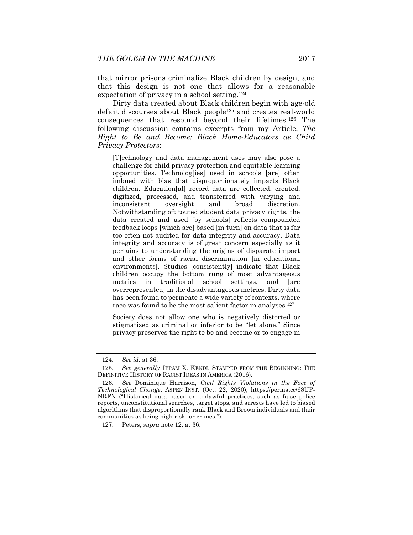that mirror prisons criminalize Black children by design, and that this design is not one that allows for a reasonable expectation of privacy in a school setting.124

Dirty data created about Black children begin with age-old deficit discourses about Black people125 and creates real-world consequences that resound beyond their lifetimes.126 The following discussion contains excerpts from my Article, *The Right to Be and Become: Black Home-Educators as Child Privacy Protectors*:

[T]echnology and data management uses may also pose a challenge for child privacy protection and equitable learning opportunities. Technolog[ies] used in schools [are] often imbued with bias that disproportionately impacts Black children. Education[al] record data are collected, created, digitized, processed, and transferred with varying and inconsistent oversight and broad discretion. Notwithstanding oft touted student data privacy rights, the data created and used [by schools] reflects compounded feedback loops [which are] based [in turn] on data that is far too often not audited for data integrity and accuracy. Data integrity and accuracy is of great concern especially as it pertains to understanding the origins of disparate impact and other forms of racial discrimination [in educational environments]. Studies [consistently] indicate that Black children occupy the bottom rung of most advantageous metrics in traditional school settings, and [are overrepresented] in the disadvantageous metrics. Dirty data has been found to permeate a wide variety of contexts, where race was found to be the most salient factor in analyses.<sup>127</sup>

Society does not allow one who is negatively distorted or stigmatized as criminal or inferior to be "let alone." Since privacy preserves the right to be and become or to engage in

<sup>124</sup>*. See id.* at 36.

<sup>125</sup>*. See generally* IBRAM X. KENDI, STAMPED FROM THE BEGINNING: THE DEFINITIVE HISTORY OF RACIST IDEAS IN AMERICA (2016).

<sup>126</sup>*. See* Dominique Harrison, *Civil Rights Violations in the Face of Technological Change*, ASPEN INST. (Oct. 22, 2020), https://perma.cc/68UP-NRFN ("Historical data based on unlawful practices, such as false police reports, unconstitutional searches, target stops, and arrests have led to biased algorithms that disproportionally rank Black and Brown individuals and their communities as being high risk for crimes.").

 <sup>127.</sup> Peters, *supra* note 12, at 36.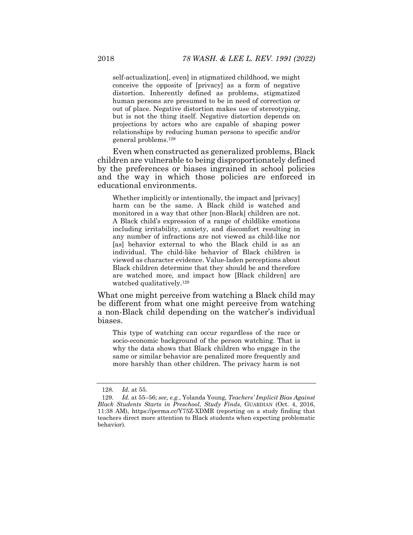self-actualization[, even] in stigmatized childhood, we might conceive the opposite of [privacy] as a form of negative distortion. Inherently defined as problems, stigmatized human persons are presumed to be in need of correction or out of place. Negative distortion makes use of stereotyping, but is not the thing itself. Negative distortion depends on projections by actors who are capable of shaping power relationships by reducing human persons to specific and/or general problems.128

Even when constructed as generalized problems, Black children are vulnerable to being disproportionately defined by the preferences or biases ingrained in school policies and the way in which those policies are enforced in educational environments.

Whether implicitly or intentionally, the impact and [privacy] harm can be the same. A Black child is watched and monitored in a way that other [non-Black] children are not. A Black child's expression of a range of childlike emotions including irritability, anxiety, and discomfort resulting in any number of infractions are not viewed as child-like nor [as] behavior external to who the Black child is as an individual. The child-like behavior of Black children is viewed as character evidence. Value-laden perceptions about Black children determine that they should be and therefore are watched more, and impact how [Black children] are watched qualitatively.129

What one might perceive from watching a Black child may be different from what one might perceive from watching a non-Black child depending on the watcher's individual biases.

This type of watching can occur regardless of the race or socio-economic background of the person watching. That is why the data shows that Black children who engage in the same or similar behavior are penalized more frequently and more harshly than other children. The privacy harm is not

<sup>128</sup>*. Id.* at 55.

<sup>129</sup>*. Id.* at 55–56; *see, e.g.*, Yolanda Young, *Teachers' Implicit Bias Against Black Students Starts in Preschool, Study Finds*, GUARDIAN (Oct. 4, 2016, 11:38 AM), https://perma.cc/Y75Z-XDMR (reporting on a study finding that teachers direct more attention to Black students when expecting problematic behavior).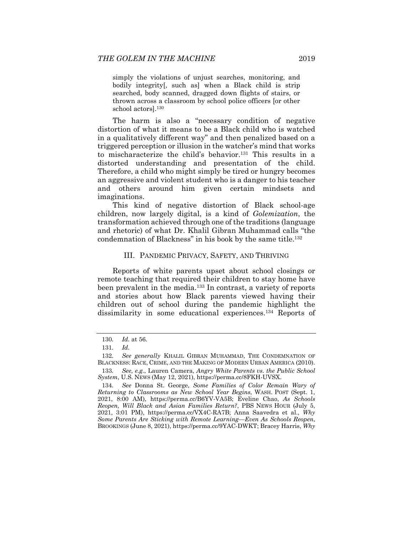simply the violations of unjust searches, monitoring, and bodily integrity[, such as] when a Black child is strip searched, body scanned, dragged down flights of stairs, or thrown across a classroom by school police officers [or other school actors].130

The harm is also a "necessary condition of negative distortion of what it means to be a Black child who is watched in a qualitatively different way" and then penalized based on a triggered perception or illusion in the watcher's mind that works to mischaracterize the child's behavior.131 This results in a distorted understanding and presentation of the child. Therefore, a child who might simply be tired or hungry becomes an aggressive and violent student who is a danger to his teacher and others around him given certain mindsets and imaginations.

This kind of negative distortion of Black school-age children, now largely digital, is a kind of *Golemization*, the transformation achieved through one of the traditions (language and rhetoric) of what Dr. Khalil Gibran Muhammad calls "the condemnation of Blackness" in his book by the same title.132

#### III. PANDEMIC PRIVACY, SAFETY, AND THRIVING

Reports of white parents upset about school closings or remote teaching that required their children to stay home have been prevalent in the media.133 In contrast, a variety of reports and stories about how Black parents viewed having their children out of school during the pandemic highlight the dissimilarity in some educational experiences.134 Reports of

<sup>130</sup>*. Id.* at 56.

<sup>131</sup>*. Id.*

<sup>132</sup>*. See generally* KHALIL GIBRAN MUHAMMAD, THE CONDEMNATION OF BLACKNESS: RACE, CRIME, AND THE MAKING OF MODERN URBAN AMERICA (2010).

<sup>133</sup>*. See, e.g.*, Lauren Camera, *Angry White Parents vs. the Public School System*, U.S. NEWS (May 12, 2021), https://perma.cc/8FKH-UVSX.

<sup>134</sup>*. See* Donna St. George, *Some Families of Color Remain Wary of Returning to Classrooms as New School Year Begins*, WASH. POST (Sept. 1, 2021, 8:00 AM), https://perma.cc/B6YV-VA5B; Eveline Chao, *As Schools Reopen, Will Black and Asian Families Return?*, PBS NEWS HOUR (July 5, 2021, 3:01 PM), https://perma.cc/VX4C-RA7B; Anna Saavedra et al., *Why Some Parents Are Sticking with Remote Learning—Even As Schools Reopen*, BROOKINGS (June 8, 2021), https://perma.cc/9YAC-DWKT; Bracey Harris, *Why*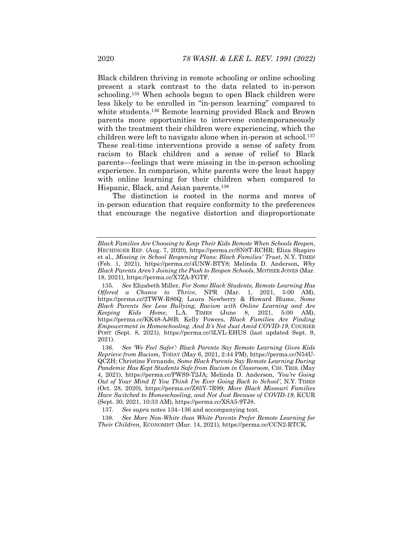Black children thriving in remote schooling or online schooling present a stark contrast to the data related to in-person schooling.135 When schools began to open Black children were less likely to be enrolled in "in-person learning" compared to white students.136 Remote learning provided Black and Brown parents more opportunities to intervene contemporaneously with the treatment their children were experiencing, which the children were left to navigate alone when in-person at school.<sup>137</sup> These real-time interventions provide a sense of safety from racism to Black children and a sense of relief to Black parents—feelings that were missing in the in-person schooling experience. In comparison, white parents were the least happy with online learning for their children when compared to Hispanic, Black, and Asian parents.138

The distinction is rooted in the norms and mores of in-person education that require conformity to the preferences that encourage the negative distortion and disproportionate

*Black Families Are Choosing to Keep Their Kids Remote When Schools Reopen*, HECHINGER REP. (Aug. 7, 2020), https://perma.cc/SN8T-RCHR; Eliza Shapiro et al., *Missing in School Reopening Plans: Black Families' Trust*, N.Y. TIMES (Feb. 1, 2021), https://perma.cc/4UNW-BTY8; Melinda D. Anderson, *Why Black Parents Aren't Joining the Push to Reopen Schools*, MOTHER JONES (Mar. 18, 2021), https://perma.cc/X7ZA-FGTF.

<sup>135</sup>*. See* Elizabeth Miller, *For Some Black Students, Remote Learning Has Offered a Chance to Thrive*, NPR (Mar. 1, 2021, 5:00 AM), https://perma.cc/2TWW-R86Q; Laura Newberry & Howard Blume, *Some Black Parents See Less Bullying, Racism with Online Learning and Are Keeping Kids Home*, L.A. TIMES (June 8, 2021, 5:00 AM), https://perma.cc/KK48-AJ6B; Kelly Powers, *Black Families Are Finding Empowerment in Homeschooling. And It's Not Just Amid COVID-19*, COURIER POST (Sept. 8, 2021), https://perma.cc/3LVL-EHUS (last updated Sept. 9, 2021).

<sup>136</sup>*. See 'We Feel Safer': Black Parents Say Remote Learning Gives Kids Reprieve from Racism*, TODAY (May 6, 2021, 2:44 PM), https://perma.cc/N54U-QCZH; Christine Fernando, *Some Black Parents Say Remote Learning During Pandemic Has Kept Students Safe from Racism in Classroom*, CHI. TRIB. (May 4, 2021), https://perma.cc/PWS9-T2JA; Melinda D. Anderson, *'You're Going Out of Your Mind If You Think I'm Ever Going Back to School'*, N.Y. TIMES (Oct. 28, 2020), https://perma.cc/Z85Y-7R99; *More Black Missouri Families Have Switched to Homeschooling, and Not Just Because of COVID-19*, KCUR (Sept. 30, 2021, 10:33 AM), https://perma.cc/XSA5-9TJ8.

<sup>137</sup>*. See supra* notes 134–136 and accompanying text.

<sup>138</sup>*. See More Non-White than White Parents Prefer Remote Learning for Their Children*, ECONOMIST (Mar. 14, 2021), https://perma.cc/CCN2-RTCK.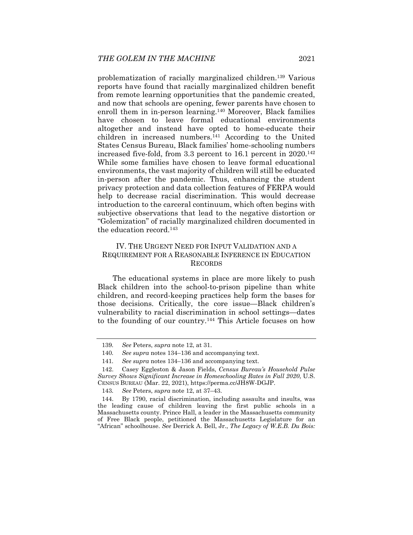problematization of racially marginalized children.139 Various reports have found that racially marginalized children benefit from remote learning opportunities that the pandemic created, and now that schools are opening, fewer parents have chosen to enroll them in in-person learning.<sup>140</sup> Moreover, Black families have chosen to leave formal educational environments altogether and instead have opted to home-educate their children in increased numbers.141 According to the United States Census Bureau, Black families' home-schooling numbers increased five-fold, from 3.3 percent to 16.1 percent in 2020.<sup>142</sup> While some families have chosen to leave formal educational environments, the vast majority of children will still be educated in-person after the pandemic. Thus, enhancing the student privacy protection and data collection features of FERPA would help to decrease racial discrimination. This would decrease introduction to the carceral continuum, which often begins with subjective observations that lead to the negative distortion or "Golemization" of racially marginalized children documented in the education record.143

## IV. THE URGENT NEED FOR INPUT VALIDATION AND A REQUIREMENT FOR A REASONABLE INFERENCE IN EDUCATION RECORDS

The educational systems in place are more likely to push Black children into the school-to-prison pipeline than white children, and record-keeping practices help form the bases for those decisions. Critically, the core issue—Black children's vulnerability to racial discrimination in school settings—dates to the founding of our country.144 This Article focuses on how

<sup>139</sup>*. See* Peters, *supra* note 12, at 31.

<sup>140</sup>*. See supra* notes 134–136 and accompanying text.

<sup>141</sup>*. See supra* notes 134–136 and accompanying text.

 <sup>142.</sup> Casey Eggleston & Jason Fields, *Census Bureau's Household Pulse Survey Shows Significant Increase in Homeschooling Rates in Fall 2020*, U.S. CENSUS BUREAU (Mar. 22, 2021), https://perma.cc/JH8W-DGJP.

<sup>143</sup>*. See* Peters, *supra* note 12, at 37–43.

 <sup>144.</sup> By 1790, racial discrimination, including assaults and insults, was the leading cause of children leaving the first public schools in a Massachusetts county. Prince Hall, a leader in the Massachusetts community of Free Black people, petitioned the Massachusetts Legislature for an "African" schoolhouse. *See* Derrick A. Bell, Jr., *The Legacy of W.E.B. Du Bois:*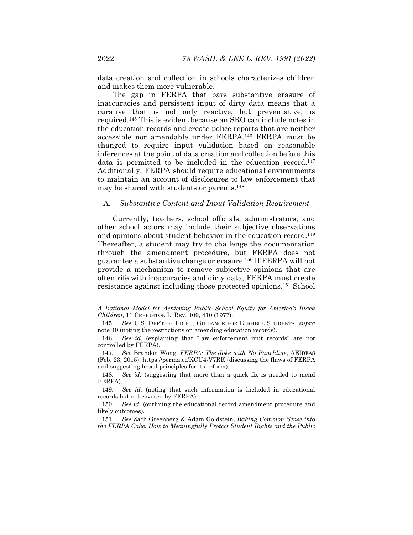data creation and collection in schools characterizes children and makes them more vulnerable.

The gap in FERPA that bars substantive erasure of inaccuracies and persistent input of dirty data means that a curative that is not only reactive, but preventative, is required.145 This is evident because an SRO can include notes in the education records and create police reports that are neither accessible nor amendable under FERPA.146 FERPA must be changed to require input validation based on reasonable inferences at the point of data creation and collection before this data is permitted to be included in the education record.<sup>147</sup> Additionally, FERPA should require educational environments to maintain an account of disclosures to law enforcement that may be shared with students or parents.148

#### A. *Substantive Content and Input Validation Requirement*

Currently, teachers, school officials, administrators, and other school actors may include their subjective observations and opinions about student behavior in the education record.<sup>149</sup> Thereafter, a student may try to challenge the documentation through the amendment procedure, but FERPA does not guarantee a substantive change or erasure.150 If FERPA will not provide a mechanism to remove subjective opinions that are often rife with inaccuracies and dirty data, FERPA must create resistance against including those protected opinions.151 School

*A Rational Model for Achieving Public School Equity for America's Black Children*, 11 CREIGHTON L. REV. 409, 410 (1977).

<sup>145</sup>*. See* U.S. DEP'T OF EDUC., GUIDANCE FOR ELIGIBLE STUDENTS, *supra* note 40 (noting the restrictions on amending education records).

<sup>146</sup>*. See id.* (explaining that "law enforcement unit records" are not controlled by FERPA).

<sup>147</sup>*. See* Brandon Wong, *FERPA: The Joke with No Punchline*, AEIDEAS (Feb. 23, 2015), https://perma.cc/KCU4-V7RK (discussing the flaws of FERPA and suggesting broad principles for its reform).

<sup>148</sup>*. See id.* (suggesting that more than a quick fix is needed to mend FERPA).

<sup>149</sup>*. See id.* (noting that such information is included in educational records but not covered by FERPA).

<sup>150</sup>*. See id.* (outlining the educational record amendment procedure and likely outcomes).

<sup>151</sup>*. See* Zach Greenberg & Adam Goldstein, *Baking Common Sense into the FERPA Cake: How to Meaningfully Protect Student Rights and the Public*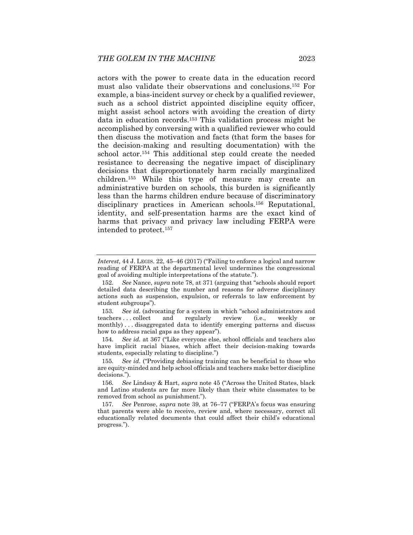actors with the power to create data in the education record must also validate their observations and conclusions.152 For example, a bias-incident survey or check by a qualified reviewer, such as a school district appointed discipline equity officer, might assist school actors with avoiding the creation of dirty data in education records.153 This validation process might be accomplished by conversing with a qualified reviewer who could then discuss the motivation and facts (that form the bases for the decision-making and resulting documentation) with the school actor.154 This additional step could create the needed resistance to decreasing the negative impact of disciplinary decisions that disproportionately harm racially marginalized children.155 While this type of measure may create an administrative burden on schools, this burden is significantly less than the harms children endure because of discriminatory disciplinary practices in American schools.156 Reputational, identity, and self-presentation harms are the exact kind of harms that privacy and privacy law including FERPA were intended to protect.157

153. *See id.* (advocating for a system in which "school administrators and pachers ... collect and regularly review (i.e., weekly or teachers . . . collect and regularly review (i.e., weekly or monthly) . . . disaggregated data to identify emerging patterns and discuss how to address racial gaps as they appear").

154*. See id.* at 367 ("Like everyone else, school officials and teachers also have implicit racial biases, which affect their decision-making towards students, especially relating to discipline.")

155*. See id.* ("Providing debiasing training can be beneficial to those who are equity-minded and help school officials and teachers make better discipline decisions.").

156*. See* Lindsay & Hart, *supra* note 45 ("Across the United States, black and Latino students are far more likely than their white classmates to be removed from school as punishment.").

157*. See* Penrose, *supra* note 39, at 76–77 ("FERPA's focus was ensuring that parents were able to receive, review and, where necessary, correct all educationally related documents that could affect their child's educational progress.").

*Interest*, 44 J. LEGIS. 22, 45–46 (2017) ("Failing to enforce a logical and narrow reading of FERPA at the departmental level undermines the congressional goal of avoiding multiple interpretations of the statute.").

<sup>152</sup>*. See* Nance, *supra* note 78, at 371 (arguing that "schools should report detailed data describing the number and reasons for adverse disciplinary actions such as suspension, expulsion, or referrals to law enforcement by student subgroups").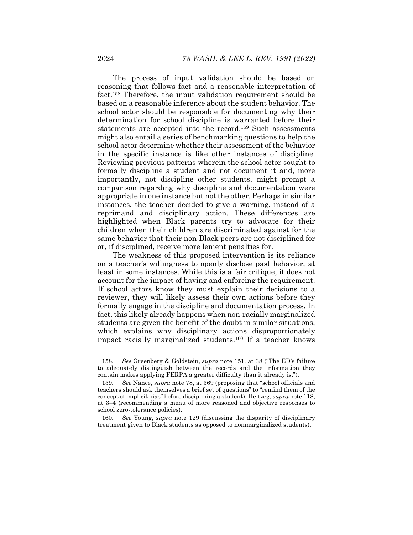The process of input validation should be based on reasoning that follows fact and a reasonable interpretation of fact.158 Therefore, the input validation requirement should be based on a reasonable inference about the student behavior. The school actor should be responsible for documenting why their determination for school discipline is warranted before their statements are accepted into the record.159 Such assessments might also entail a series of benchmarking questions to help the school actor determine whether their assessment of the behavior in the specific instance is like other instances of discipline. Reviewing previous patterns wherein the school actor sought to formally discipline a student and not document it and, more importantly, not discipline other students, might prompt a comparison regarding why discipline and documentation were appropriate in one instance but not the other. Perhaps in similar instances, the teacher decided to give a warning, instead of a reprimand and disciplinary action. These differences are highlighted when Black parents try to advocate for their children when their children are discriminated against for the same behavior that their non-Black peers are not disciplined for or, if disciplined, receive more lenient penalties for.

The weakness of this proposed intervention is its reliance on a teacher's willingness to openly disclose past behavior, at least in some instances. While this is a fair critique, it does not account for the impact of having and enforcing the requirement. If school actors know they must explain their decisions to a reviewer, they will likely assess their own actions before they formally engage in the discipline and documentation process. In fact, this likely already happens when non-racially marginalized students are given the benefit of the doubt in similar situations, which explains why disciplinary actions disproportionately impact racially marginalized students.160 If a teacher knows

<sup>158</sup>*. See* Greenberg & Goldstein, *supra* note 151, at 38 ("The ED's failure to adequately distinguish between the records and the information they contain makes applying FERPA a greater difficulty than it already is.").

<sup>159</sup>*. See* Nance, *supra* note 78, at 369 (proposing that "school officials and teachers should ask themselves a brief set of questions" to "remind them of the concept of implicit bias" before disciplining a student); Heitzeg, *supra* note 118, at 3–4 (recommending a menu of more reasoned and objective responses to school zero-tolerance policies).

<sup>160</sup>*. See* Young, *supra* note 129 (discussing the disparity of disciplinary treatment given to Black students as opposed to nonmarginalized students).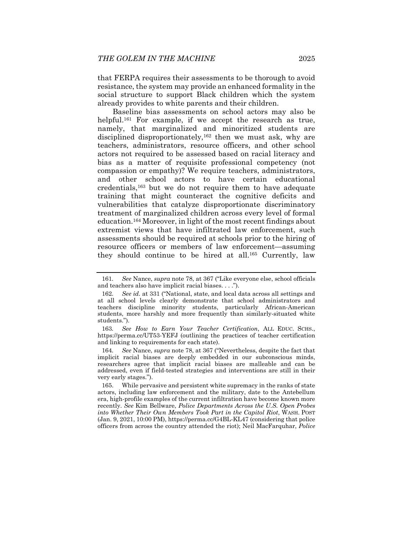that FERPA requires their assessments to be thorough to avoid resistance, the system may provide an enhanced formality in the social structure to support Black children which the system already provides to white parents and their children.

Baseline bias assessments on school actors may also be helpful.<sup>161</sup> For example, if we accept the research as true, namely, that marginalized and minoritized students are disciplined disproportionately,<sup>162</sup> then we must ask, why are teachers, administrators, resource officers, and other school actors not required to be assessed based on racial literacy and bias as a matter of requisite professional competency (not compassion or empathy)? We require teachers, administrators, and other school actors to have certain educational credentials,163 but we do not require them to have adequate training that might counteract the cognitive deficits and vulnerabilities that catalyze disproportionate discriminatory treatment of marginalized children across every level of formal education.164 Moreover, in light of the most recent findings about extremist views that have infiltrated law enforcement, such assessments should be required at schools prior to the hiring of resource officers or members of law enforcement—assuming they should continue to be hired at all.165 Currently, law

163*. See How to Earn Your Teacher Certification*, ALL EDUC. SCHS., https://perma.cc/UT53-YEFJ (outlining the practices of teacher certification and linking to requirements for each state).

164*. See* Nance, *supra* note 78, at 367 ("Nevertheless, despite the fact that implicit racial biases are deeply embedded in our subconscious minds, researchers agree that implicit racial biases are malleable and can be addressed, even if field-tested strategies and interventions are still in their very early stages.").

 165. While pervasive and persistent white supremacy in the ranks of state actors, including law enforcement and the military, date to the Antebellum era, high-profile examples of the current infiltration have become known more recently. *See* Kim Bellware, *Police Departments Across the U.S. Open Probes into Whether Their Own Members Took Part in the Capitol Riot*, WASH. POST (Jan. 9, 2021, 10:00 PM), https://perma.cc/G4BL-KL47 (considering that police officers from across the country attended the riot); Neil MacFarquhar, *Police* 

<sup>161</sup>*. See* Nance, *supra* note 78, at 367 ("Like everyone else, school officials and teachers also have implicit racial biases. . . .").

<sup>162</sup>*. See id.* at 331 ("National, state, and local data across all settings and at all school levels clearly demonstrate that school administrators and teachers discipline minority students, particularly African-American students, more harshly and more frequently than similarly-situated white students.").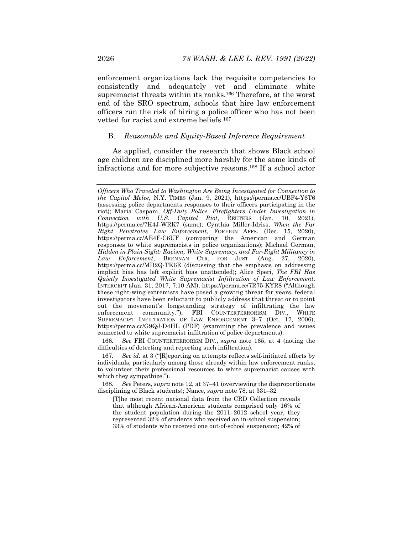enforcement organizations lack the requisite competencies to consistently and adequately vet and eliminate white supremacist threats within its ranks.<sup>166</sup> Therefore, at the worst end of the SRO spectrum, schools that hire law enforcement officers run the risk of hiring a police officer who has not been vetted for racist and extreme beliefs.167

#### B. *Reasonable and Equity-Based Inference Requirement*

As applied, consider the research that shows Black school age children are disciplined more harshly for the same kinds of infractions and for more subjective reasons.168 If a school actor

166*. See* FBI COUNTERTERRORISM DIV., *supra* note 165, at 4 (noting the difficulties of detecting and reporting such infiltration).

168*. See* Peters, *supra* note 12, at 37–41 (overviewing the disproportionate disciplining of Black students); Nance, *supra* note 78, at 331–32

[T]he most recent national data from the CRD Collection reveals that although African-American students comprised only 16% of the student population during the 2011–2012 school year, they represented 32% of students who received an in-school suspension; 33% of students who received one out-of-school suspension; 42% of

*Officers Who Traveled to Washington Are Being Investigated for Connection to the Capitol Melee*, N.Y. TIMES (Jan. 9, 2021), https://perma.cc/UBF4-Y6T6 (assessing police departments responses to their officers participating in the riot); Maria Caspani, *Off-Duty Police, Firefighters Under Investigation in Connection with U.S. Capitol Riot*, REUTERS (Jan. 10, 2021), https://perma.cc/7K4J-WRK7 (same); Cynthia Miller-Idriss, *When the Far Right Penetrates Law Enforcement*, FOREIGN AFFS. (Dec. 15, 2020), https://perma.cc/AE4F-C6UF (comparing the American and German responses to white supremacists in police organizations); Michael German, *Hidden in Plain Sight: Racism, White Supremacy, and Far-Right Militancy in Law Enforcement*, BRENNAN CTR. FOR JUST. (Aug. 27, 2020), https://perma.cc/MD2Q-TK6E (discussing that the emphasis on addressing implicit bias has left explicit bias unattended); Alice Speri, *The FBI Has Quietly Investigated White Supremacist Infiltration of Law Enforcement*, INTERCEPT (Jan. 31, 2017, 7:10 AM), https://perma.cc/7R75-KYR8 ("Although these right-wing extremists have posed a growing threat for years, federal investigators have been reluctant to publicly address that threat or to point out the movement's longstanding strategy of infiltrating the law enforcement community."); FBI COUNTERTERRORISM DIV., WHITE SUPREMACIST INFILTRATION OF LAW ENFORCEMENT 3–7 (Oct. 17, 2006), https://perma.cc/G9QJ-D4HL (PDF) (examining the prevalence and issues connected to white supremacist infiltration of police departments).

<sup>167</sup>*. See id.* at 3 ("[R]eporting on attempts reflects self-initiated efforts by individuals, particularly among those already within law enforcement ranks, to volunteer their professional resources to white supremacist causes with which they sympathize.").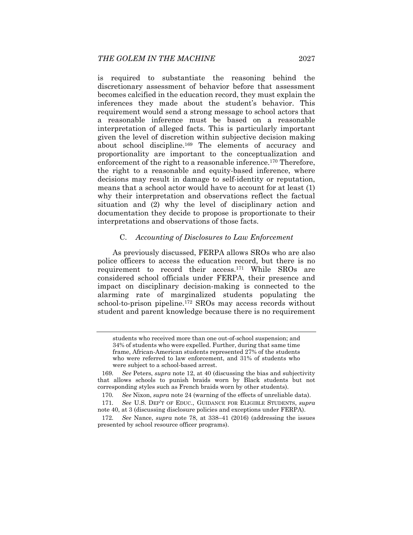is required to substantiate the reasoning behind the discretionary assessment of behavior before that assessment becomes calcified in the education record, they must explain the inferences they made about the student's behavior. This requirement would send a strong message to school actors that a reasonable inference must be based on a reasonable interpretation of alleged facts. This is particularly important given the level of discretion within subjective decision making about school discipline.169 The elements of accuracy and proportionality are important to the conceptualization and enforcement of the right to a reasonable inference.<sup>170</sup> Therefore, the right to a reasonable and equity-based inference, where decisions may result in damage to self-identity or reputation, means that a school actor would have to account for at least (1) why their interpretation and observations reflect the factual situation and (2) why the level of disciplinary action and documentation they decide to propose is proportionate to their interpretations and observations of those facts.

## C. *Accounting of Disclosures to Law Enforcement*

As previously discussed, FERPA allows SROs who are also police officers to access the education record, but there is no requirement to record their access.171 While SROs are considered school officials under FERPA, their presence and impact on disciplinary decision-making is connected to the alarming rate of marginalized students populating the school-to-prison pipeline.172 SROs may access records without student and parent knowledge because there is no requirement

students who received more than one out-of-school suspension; and 34% of students who were expelled. Further, during that same time frame, African-American students represented 27% of the students who were referred to law enforcement, and 31% of students who were subject to a school-based arrest.

<sup>169</sup>*. See* Peters, *supra* note 12, at 40 (discussing the bias and subjectivity that allows schools to punish braids worn by Black students but not corresponding styles such as French braids worn by other students).

<sup>170</sup>*. See* Nixon, *supra* note 24 (warning of the effects of unreliable data).

<sup>171</sup>*. See* U.S. DEP'T OF EDUC., GUIDANCE FOR ELIGIBLE STUDENTS, *supra* note 40, at 3 (discussing disclosure policies and exceptions under FERPA).

<sup>172</sup>*. See* Nance, *supra* note 78, at 338–41 (2016) (addressing the issues presented by school resource officer programs).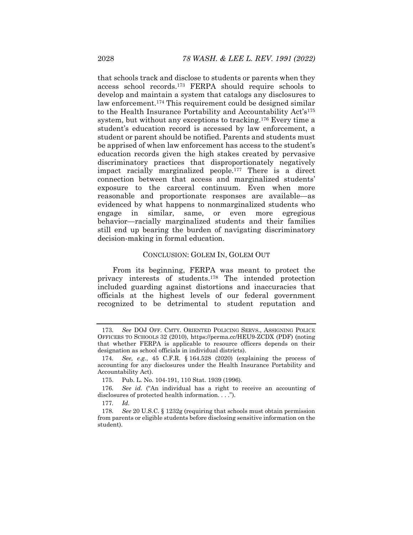that schools track and disclose to students or parents when they access school records.173 FERPA should require schools to develop and maintain a system that catalogs any disclosures to law enforcement.<sup>174</sup> This requirement could be designed similar to the Health Insurance Portability and Accountability Act's<sup>175</sup> system, but without any exceptions to tracking.176 Every time a student's education record is accessed by law enforcement, a student or parent should be notified. Parents and students must be apprised of when law enforcement has access to the student's education records given the high stakes created by pervasive discriminatory practices that disproportionately negatively impact racially marginalized people.177 There is a direct connection between that access and marginalized students' exposure to the carceral continuum. Even when more reasonable and proportionate responses are available—as evidenced by what happens to nonmarginalized students who engage in similar, same, or even more egregious behavior—racially marginalized students and their families still end up bearing the burden of navigating discriminatory decision-making in formal education.

#### CONCLUSION: GOLEM IN, GOLEM OUT

From its beginning, FERPA was meant to protect the privacy interests of students.178 The intended protection included guarding against distortions and inaccuracies that officials at the highest levels of our federal government recognized to be detrimental to student reputation and

<sup>173</sup>*. See* DOJ OFF. CMTY. ORIENTED POLICING SERVS., ASSIGNING POLICE OFFICERS TO SCHOOLS 32 (2010), https://perma.cc/HEU9-ZCDX (PDF) (noting that whether FERPA is applicable to resource officers depends on their designation as school officials in individual districts).

<sup>174</sup>*. See, e.g.*, 45 C.F.R. § 164.528 (2020) (explaining the process of accounting for any disclosures under the Health Insurance Portability and Accountability Act).

 <sup>175.</sup> Pub. L. No. 104-191, 110 Stat. 1939 (1996).

<sup>176</sup>*. See id.* ("An individual has a right to receive an accounting of disclosures of protected health information. . . .").

<sup>177</sup>*. Id.* 

<sup>178</sup>*. See* 20 U.S.C. § 1232g (requiring that schools must obtain permission from parents or eligible students before disclosing sensitive information on the student).